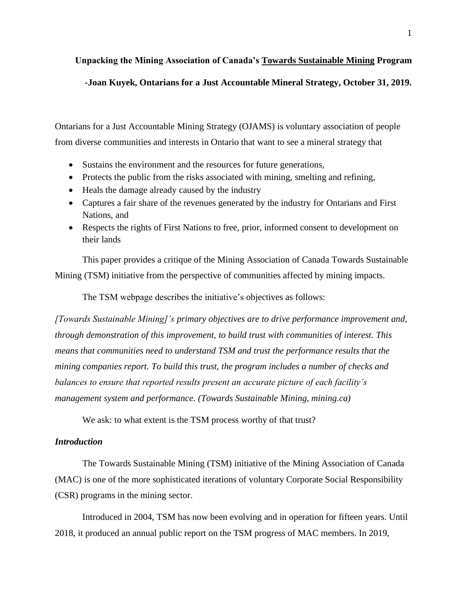# **Unpacking the Mining Association of Canada's Towards Sustainable Mining Program -Joan Kuyek, Ontarians for a Just Accountable Mineral Strategy, October 31, 2019.**

Ontarians for a Just Accountable Mining Strategy (OJAMS) is voluntary association of people from diverse communities and interests in Ontario that want to see a mineral strategy that

- Sustains the environment and the resources for future generations,
- Protects the public from the risks associated with mining, smelting and refining,
- Heals the damage already caused by the industry
- Captures a fair share of the revenues generated by the industry for Ontarians and First Nations, and
- Respects the rights of First Nations to free, prior, informed consent to development on their lands

This paper provides a critique of the Mining Association of Canada Towards Sustainable Mining (TSM) initiative from the perspective of communities affected by mining impacts.

The TSM webpage describes the initiative's objectives as follows:

*[Towards Sustainable Mining]'s primary objectives are to drive performance improvement and, through demonstration of this improvement, to build trust with communities of interest. This means that communities need to understand TSM and trust the performance results that the mining companies report. To build this trust, the program includes a number of checks and balances to ensure that reported results present an accurate picture of each facility's management system and performance. (Towards Sustainable Mining, mining.ca)*

We ask: to what extent is the TSM process worthy of that trust?

# *Introduction*

The Towards Sustainable Mining (TSM) initiative of the Mining Association of Canada (MAC) is one of the more sophisticated iterations of voluntary Corporate Social Responsibility (CSR) programs in the mining sector.

Introduced in 2004, TSM has now been evolving and in operation for fifteen years. Until 2018, it produced an annual public report on the TSM progress of MAC members. In 2019,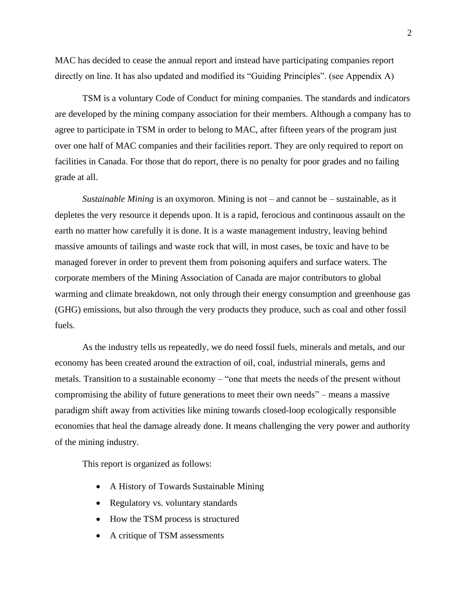MAC has decided to cease the annual report and instead have participating companies report directly on line. It has also updated and modified its "Guiding Principles". (see Appendix A)

TSM is a voluntary Code of Conduct for mining companies. The standards and indicators are developed by the mining company association for their members. Although a company has to agree to participate in TSM in order to belong to MAC, after fifteen years of the program just over one half of MAC companies and their facilities report. They are only required to report on facilities in Canada. For those that do report, there is no penalty for poor grades and no failing grade at all.

*Sustainable Mining* is an oxymoron. Mining is not – and cannot be – sustainable, as it depletes the very resource it depends upon. It is a rapid, ferocious and continuous assault on the earth no matter how carefully it is done. It is a waste management industry, leaving behind massive amounts of tailings and waste rock that will, in most cases, be toxic and have to be managed forever in order to prevent them from poisoning aquifers and surface waters. The corporate members of the Mining Association of Canada are major contributors to global warming and climate breakdown, not only through their energy consumption and greenhouse gas (GHG) emissions, but also through the very products they produce, such as coal and other fossil fuels.

As the industry tells us repeatedly, we do need fossil fuels, minerals and metals, and our economy has been created around the extraction of oil, coal, industrial minerals, gems and metals. Transition to a sustainable economy – "one that meets the needs of the present without compromising the ability of future generations to meet their own needs" – means a massive paradigm shift away from activities like mining towards closed-loop ecologically responsible economies that heal the damage already done. It means challenging the very power and authority of the mining industry.

This report is organized as follows:

- A History of Towards Sustainable Mining
- Regulatory vs. voluntary standards
- How the TSM process is structured
- A critique of TSM assessments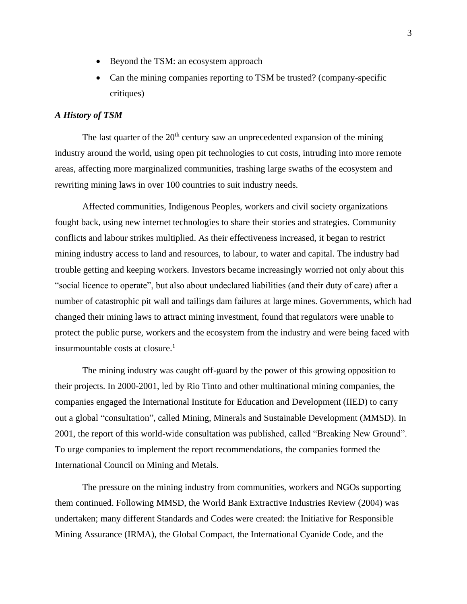- Beyond the TSM: an ecosystem approach
- Can the mining companies reporting to TSM be trusted? (company-specific critiques)

# *A History of TSM*

The last quarter of the  $20<sup>th</sup>$  century saw an unprecedented expansion of the mining industry around the world, using open pit technologies to cut costs, intruding into more remote areas, affecting more marginalized communities, trashing large swaths of the ecosystem and rewriting mining laws in over 100 countries to suit industry needs.

Affected communities, Indigenous Peoples, workers and civil society organizations fought back, using new internet technologies to share their stories and strategies. Community conflicts and labour strikes multiplied. As their effectiveness increased, it began to restrict mining industry access to land and resources, to labour, to water and capital. The industry had trouble getting and keeping workers. Investors became increasingly worried not only about this "social licence to operate", but also about undeclared liabilities (and their duty of care) after a number of catastrophic pit wall and tailings dam failures at large mines. Governments, which had changed their mining laws to attract mining investment, found that regulators were unable to protect the public purse, workers and the ecosystem from the industry and were being faced with insurmountable costs at closure.<sup>1</sup>

The mining industry was caught off-guard by the power of this growing opposition to their projects. In 2000-2001, led by Rio Tinto and other multinational mining companies, the companies engaged the International Institute for Education and Development (IIED) to carry out a global "consultation", called Mining, Minerals and Sustainable Development (MMSD). In 2001, the report of this world-wide consultation was published, called "Breaking New Ground". To urge companies to implement the report recommendations, the companies formed the International Council on Mining and Metals.

The pressure on the mining industry from communities, workers and NGOs supporting them continued. Following MMSD, the World Bank Extractive Industries Review (2004) was undertaken; many different Standards and Codes were created: the Initiative for Responsible Mining Assurance (IRMA), the Global Compact, the International Cyanide Code, and the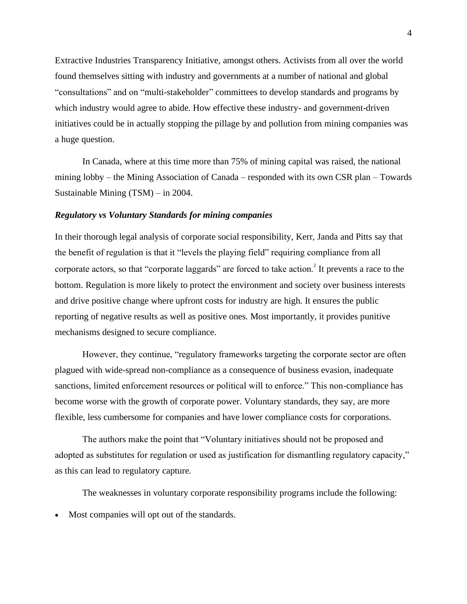Extractive Industries Transparency Initiative, amongst others. Activists from all over the world found themselves sitting with industry and governments at a number of national and global "consultations" and on "multi-stakeholder" committees to develop standards and programs by which industry would agree to abide. How effective these industry- and government-driven initiatives could be in actually stopping the pillage by and pollution from mining companies was a huge question.

In Canada, where at this time more than 75% of mining capital was raised, the national mining lobby – the Mining Association of Canada – responded with its own CSR plan – Towards Sustainable Mining (TSM) – in 2004.

#### *Regulatory vs Voluntary Standards for mining companies*

In their thorough legal analysis of corporate social responsibility, Kerr, Janda and Pitts say that the benefit of regulation is that it "levels the playing field" requiring compliance from all corporate actors, so that "corporate laggards" are forced to take action.<sup>2</sup> It prevents a race to the bottom. Regulation is more likely to protect the environment and society over business interests and drive positive change where upfront costs for industry are high. It ensures the public reporting of negative results as well as positive ones. Most importantly, it provides punitive mechanisms designed to secure compliance.

However, they continue, "regulatory frameworks targeting the corporate sector are often plagued with wide-spread non-compliance as a consequence of business evasion, inadequate sanctions, limited enforcement resources or political will to enforce." This non-compliance has become worse with the growth of corporate power. Voluntary standards, they say, are more flexible, less cumbersome for companies and have lower compliance costs for corporations.

The authors make the point that "Voluntary initiatives should not be proposed and adopted as substitutes for regulation or used as justification for dismantling regulatory capacity," as this can lead to regulatory capture.

The weaknesses in voluntary corporate responsibility programs include the following:

• Most companies will opt out of the standards.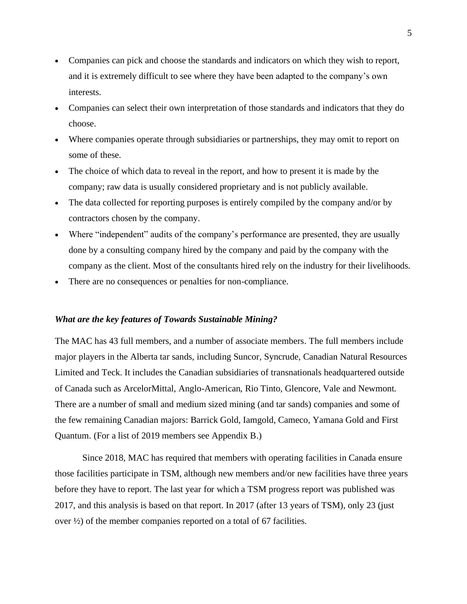- Companies can pick and choose the standards and indicators on which they wish to report, and it is extremely difficult to see where they have been adapted to the company's own interests.
- Companies can select their own interpretation of those standards and indicators that they do choose.
- Where companies operate through subsidiaries or partnerships, they may omit to report on some of these.
- The choice of which data to reveal in the report, and how to present it is made by the company; raw data is usually considered proprietary and is not publicly available.
- The data collected for reporting purposes is entirely compiled by the company and/or by contractors chosen by the company.
- Where "independent" audits of the company's performance are presented, they are usually done by a consulting company hired by the company and paid by the company with the company as the client. Most of the consultants hired rely on the industry for their livelihoods.
- There are no consequences or penalties for non-compliance.

# *What are the key features of Towards Sustainable Mining?*

The MAC has 43 full members, and a number of associate members. The full members include major players in the Alberta tar sands, including Suncor, Syncrude, Canadian Natural Resources Limited and Teck. It includes the Canadian subsidiaries of transnationals headquartered outside of Canada such as ArcelorMittal, Anglo-American, Rio Tinto, Glencore, Vale and Newmont. There are a number of small and medium sized mining (and tar sands) companies and some of the few remaining Canadian majors: Barrick Gold, Iamgold, Cameco, Yamana Gold and First Quantum. (For a list of 2019 members see Appendix B.)

Since 2018, MAC has required that members with operating facilities in Canada ensure those facilities participate in TSM, although new members and/or new facilities have three years before they have to report. The last year for which a TSM progress report was published was 2017, and this analysis is based on that report. In 2017 (after 13 years of TSM), only 23 (just over ½) of the member companies reported on a total of 67 facilities.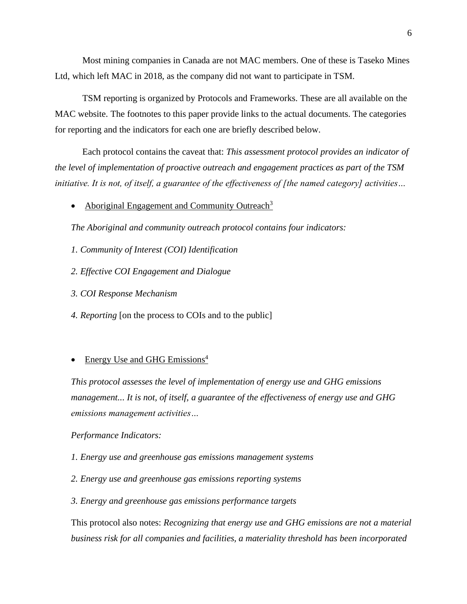Most mining companies in Canada are not MAC members. One of these is Taseko Mines Ltd, which left MAC in 2018, as the company did not want to participate in TSM.

TSM reporting is organized by Protocols and Frameworks. These are all available on the MAC website. The footnotes to this paper provide links to the actual documents. The categories for reporting and the indicators for each one are briefly described below.

Each protocol contains the caveat that: *This assessment protocol provides an indicator of the level of implementation of proactive outreach and engagement practices as part of the TSM initiative. It is not, of itself, a guarantee of the effectiveness of [the named category] activities…*

• Aboriginal Engagement and Community Outreach<sup>3</sup>

*The Aboriginal and community outreach protocol contains four indicators:*

- *1. Community of Interest (COI) Identification*
- *2. Effective COI Engagement and Dialogue*
- *3. COI Response Mechanism*
- *4. Reporting* [on the process to COIs and to the public]

### • Energy Use and GHG Emissions<sup>4</sup>

*This protocol assesses the level of implementation of energy use and GHG emissions management... It is not, of itself, a guarantee of the effectiveness of energy use and GHG emissions management activities…* 

#### *Performance Indicators:*

- *1. Energy use and greenhouse gas emissions management systems*
- *2. Energy use and greenhouse gas emissions reporting systems*
- *3. Energy and greenhouse gas emissions performance targets*

This protocol also notes: *Recognizing that energy use and GHG emissions are not a material business risk for all companies and facilities, a materiality threshold has been incorporated*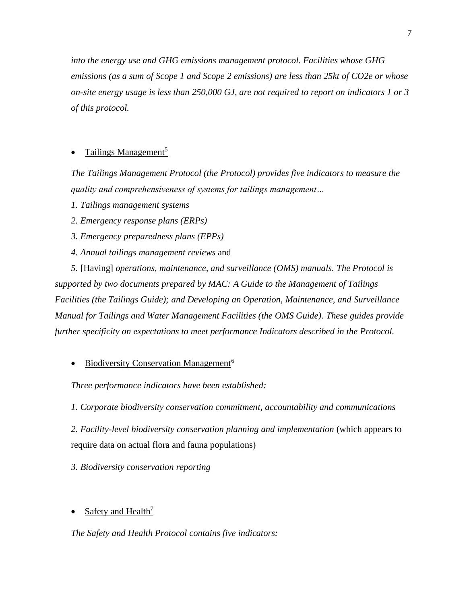*into the energy use and GHG emissions management protocol. Facilities whose GHG emissions (as a sum of Scope 1 and Scope 2 emissions) are less than 25kt of CO2e or whose on-site energy usage is less than 250,000 GJ, are not required to report on indicators 1 or 3 of this protocol.*

# Tailings Management<sup>5</sup>

*The Tailings Management Protocol (the Protocol) provides five indicators to measure the quality and comprehensiveness of systems for tailings management…*

*1. Tailings management systems*

*2. Emergency response plans (ERPs)* 

*3. Emergency preparedness plans (EPPs)* 

*4. Annual tailings management reviews* and

*5.* [Having] *operations, maintenance, and surveillance (OMS) manuals. The Protocol is supported by two documents prepared by MAC: A Guide to the Management of Tailings Facilities (the Tailings Guide); and Developing an Operation, Maintenance, and Surveillance Manual for Tailings and Water Management Facilities (the OMS Guide). These guides provide further specificity on expectations to meet performance Indicators described in the Protocol.* 

• Biodiversity Conservation Management<sup>6</sup>

*Three performance indicators have been established:*

*1. Corporate biodiversity conservation commitment, accountability and communications*

*2. Facility-level biodiversity conservation planning and implementation* (which appears to require data on actual flora and fauna populations)

*3. Biodiversity conservation reporting*

Safety and Health<sup>7</sup>

*The Safety and Health Protocol contains five indicators:*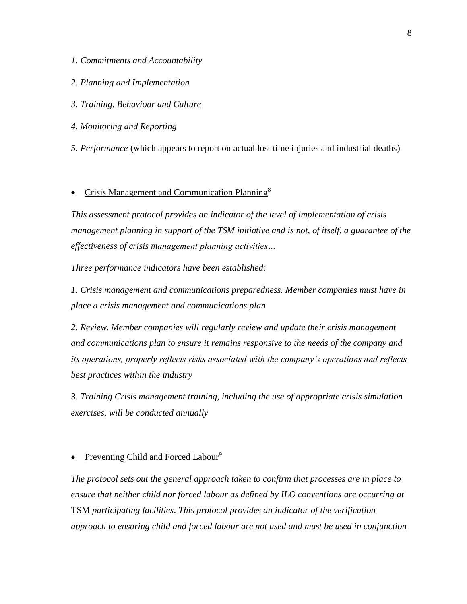- *1. Commitments and Accountability*
- *2. Planning and Implementation*
- *3. Training, Behaviour and Culture*
- *4. Monitoring and Reporting*
- *5. Performance* (which appears to report on actual lost time injuries and industrial deaths)

# • Crisis Management and Communication Planning<sup>8</sup>

*This assessment protocol provides an indicator of the level of implementation of crisis management planning in support of the TSM initiative and is not, of itself, a guarantee of the effectiveness of crisis management planning activities…*

*Three performance indicators have been established:* 

*1. Crisis management and communications preparedness. Member companies must have in place a crisis management and communications plan*

*2. Review. Member companies will regularly review and update their crisis management and communications plan to ensure it remains responsive to the needs of the company and its operations, properly reflects risks associated with the company's operations and reflects best practices within the industry*

*3. Training Crisis management training, including the use of appropriate crisis simulation exercises, will be conducted annually*

# • Preventing Child and Forced Labour<sup>9</sup>

*The protocol sets out the general approach taken to confirm that processes are in place to ensure that neither child nor forced labour as defined by ILO conventions are occurring at*  TSM *participating facilities*. *This protocol provides an indicator of the verification approach to ensuring child and forced labour are not used and must be used in conjunction*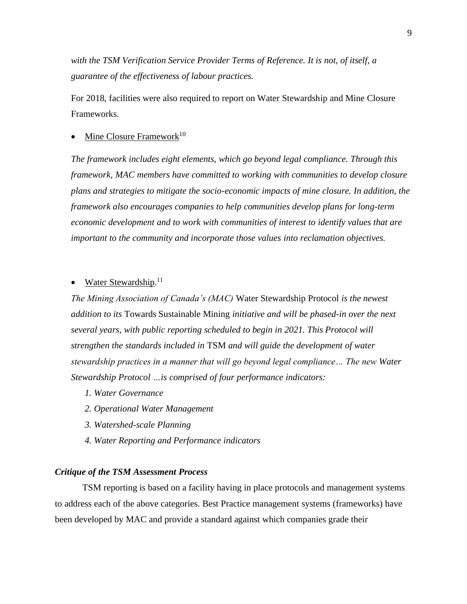*with the TSM Verification Service Provider Terms of Reference. It is not, of itself, a guarantee of the effectiveness of labour practices.*

For 2018, facilities were also required to report on Water Stewardship and Mine Closure Frameworks.

# Mine Closure Framework<sup>10</sup>

*The framework includes eight elements, which go beyond legal compliance. Through this framework, MAC members have committed to working with communities to develop closure plans and strategies to mitigate the socio-economic impacts of mine closure. In addition, the framework also encourages companies to help communities develop plans for long-term economic development and to work with communities of interest to identify values that are important to the community and incorporate those values into reclamation objectives.*

# • Water Stewardship.<sup>11</sup>

*The Mining Association of Canada's (MAC)* Water Stewardship Protocol *is the newest addition to its* Towards Sustainable Mining *initiative and will be phased-in over the next several years, with public reporting scheduled to begin in 2021. This Protocol will strengthen the standards included in* TSM *and will guide the development of water stewardship practices in a manner that will go beyond legal compliance… The new Water Stewardship Protocol …is comprised of four performance indicators:*

- *1. Water Governance*
- *2. Operational Water Management*
- *3. Watershed-scale Planning*
- *4. Water Reporting and Performance indicators*

### *Critique of the TSM Assessment Process*

TSM reporting is based on a facility having in place protocols and management systems to address each of the above categories. Best Practice management systems (frameworks) have been developed by MAC and provide a standard against which companies grade their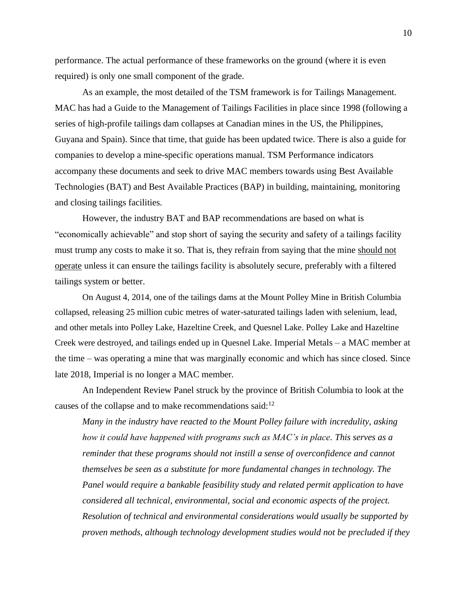performance. The actual performance of these frameworks on the ground (where it is even required) is only one small component of the grade.

As an example, the most detailed of the TSM framework is for Tailings Management. MAC has had a Guide to the Management of Tailings Facilities in place since 1998 (following a series of high-profile tailings dam collapses at Canadian mines in the US, the Philippines, Guyana and Spain). Since that time, that guide has been updated twice. There is also a guide for companies to develop a mine-specific operations manual. TSM Performance indicators accompany these documents and seek to drive MAC members towards using Best Available Technologies (BAT) and Best Available Practices (BAP) in building, maintaining, monitoring and closing tailings facilities.

However, the industry BAT and BAP recommendations are based on what is "economically achievable" and stop short of saying the security and safety of a tailings facility must trump any costs to make it so. That is, they refrain from saying that the mine should not operate unless it can ensure the tailings facility is absolutely secure, preferably with a filtered tailings system or better.

On August 4, 2014, one of the tailings dams at the Mount Polley Mine in British Columbia collapsed, releasing 25 million cubic metres of water-saturated tailings laden with selenium, lead, and other metals into Polley Lake, Hazeltine Creek, and Quesnel Lake. Polley Lake and Hazeltine Creek were destroyed, and tailings ended up in Quesnel Lake. Imperial Metals – a MAC member at the time – was operating a mine that was marginally economic and which has since closed. Since late 2018, Imperial is no longer a MAC member.

An Independent Review Panel struck by the province of British Columbia to look at the causes of the collapse and to make recommendations said:<sup>12</sup>

*Many in the industry have reacted to the Mount Polley failure with incredulity, asking how it could have happened with programs such as MAC's in place. This serves as a reminder that these programs should not instill a sense of overconfidence and cannot themselves be seen as a substitute for more fundamental changes in technology. The Panel would require a bankable feasibility study and related permit application to have considered all technical, environmental, social and economic aspects of the project. Resolution of technical and environmental considerations would usually be supported by proven methods, although technology development studies would not be precluded if they*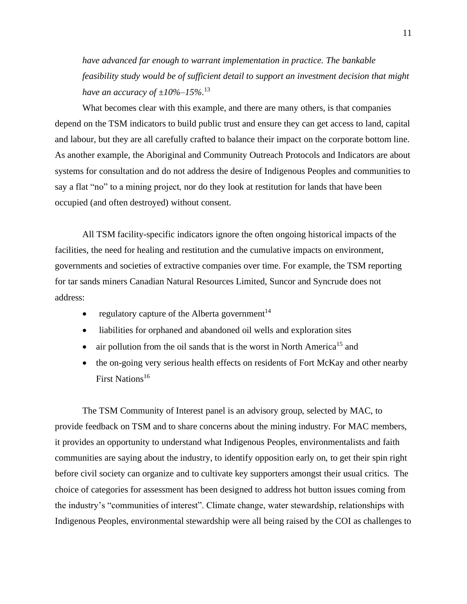*have advanced far enough to warrant implementation in practice. The bankable feasibility study would be of sufficient detail to support an investment decision that might have an accuracy of ±10%–15%.*<sup>13</sup>

What becomes clear with this example, and there are many others, is that companies depend on the TSM indicators to build public trust and ensure they can get access to land, capital and labour, but they are all carefully crafted to balance their impact on the corporate bottom line. As another example, the Aboriginal and Community Outreach Protocols and Indicators are about systems for consultation and do not address the desire of Indigenous Peoples and communities to say a flat "no" to a mining project, nor do they look at restitution for lands that have been occupied (and often destroyed) without consent.

All TSM facility-specific indicators ignore the often ongoing historical impacts of the facilities, the need for healing and restitution and the cumulative impacts on environment, governments and societies of extractive companies over time. For example, the TSM reporting for tar sands miners Canadian Natural Resources Limited, Suncor and Syncrude does not address:

- regulatory capture of the Alberta government<sup>14</sup>
- liabilities for orphaned and abandoned oil wells and exploration sites
- air pollution from the oil sands that is the worst in North America<sup>15</sup> and
- the on-going very serious health effects on residents of Fort McKay and other nearby First Nations<sup>16</sup>

The TSM Community of Interest panel is an advisory group, selected by MAC, to provide feedback on TSM and to share concerns about the mining industry. For MAC members, it provides an opportunity to understand what Indigenous Peoples, environmentalists and faith communities are saying about the industry, to identify opposition early on, to get their spin right before civil society can organize and to cultivate key supporters amongst their usual critics. The choice of categories for assessment has been designed to address hot button issues coming from the industry's "communities of interest". Climate change, water stewardship, relationships with Indigenous Peoples, environmental stewardship were all being raised by the COI as challenges to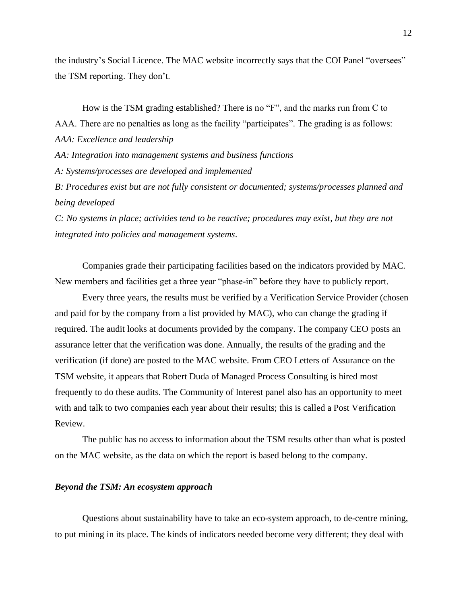the industry's Social Licence. The MAC website incorrectly says that the COI Panel "oversees" the TSM reporting. They don't.

How is the TSM grading established? There is no "F", and the marks run from C to AAA. There are no penalties as long as the facility "participates". The grading is as follows: *AAA: Excellence and leadership AA: Integration into management systems and business functions A: Systems/processes are developed and implemented B: Procedures exist but are not fully consistent or documented; systems/processes planned and being developed*

*C: No systems in place; activities tend to be reactive; procedures may exist, but they are not integrated into policies and management systems*.

Companies grade their participating facilities based on the indicators provided by MAC. New members and facilities get a three year "phase-in" before they have to publicly report.

Every three years, the results must be verified by a Verification Service Provider (chosen and paid for by the company from a list provided by MAC), who can change the grading if required. The audit looks at documents provided by the company. The company CEO posts an assurance letter that the verification was done. Annually, the results of the grading and the verification (if done) are posted to the MAC website. From CEO Letters of Assurance on the TSM website, it appears that Robert Duda of Managed Process Consulting is hired most frequently to do these audits. The Community of Interest panel also has an opportunity to meet with and talk to two companies each year about their results; this is called a Post Verification Review.

The public has no access to information about the TSM results other than what is posted on the MAC website, as the data on which the report is based belong to the company.

### *Beyond the TSM: An ecosystem approach*

Questions about sustainability have to take an eco-system approach, to de-centre mining, to put mining in its place. The kinds of indicators needed become very different; they deal with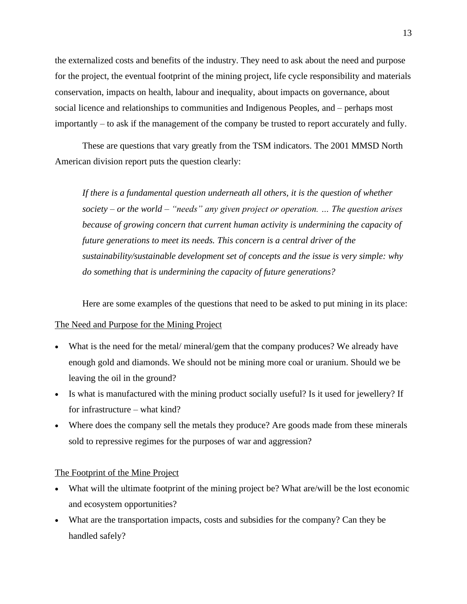the externalized costs and benefits of the industry. They need to ask about the need and purpose for the project, the eventual footprint of the mining project, life cycle responsibility and materials conservation, impacts on health, labour and inequality, about impacts on governance, about social licence and relationships to communities and Indigenous Peoples, and – perhaps most importantly – to ask if the management of the company be trusted to report accurately and fully.

These are questions that vary greatly from the TSM indicators. The 2001 MMSD North American division report puts the question clearly:

*If there is a fundamental question underneath all others, it is the question of whether society – or the world – "needs" any given project or operation. … The question arises because of growing concern that current human activity is undermining the capacity of future generations to meet its needs. This concern is a central driver of the sustainability/sustainable development set of concepts and the issue is very simple: why do something that is undermining the capacity of future generations?*

Here are some examples of the questions that need to be asked to put mining in its place:

# The Need and Purpose for the Mining Project

- What is the need for the metal/ mineral/gem that the company produces? We already have enough gold and diamonds. We should not be mining more coal or uranium. Should we be leaving the oil in the ground?
- Is what is manufactured with the mining product socially useful? Is it used for jewellery? If for infrastructure – what kind?
- Where does the company sell the metals they produce? Are goods made from these minerals sold to repressive regimes for the purposes of war and aggression?

#### The Footprint of the Mine Project

- What will the ultimate footprint of the mining project be? What are/will be the lost economic and ecosystem opportunities?
- What are the transportation impacts, costs and subsidies for the company? Can they be handled safely?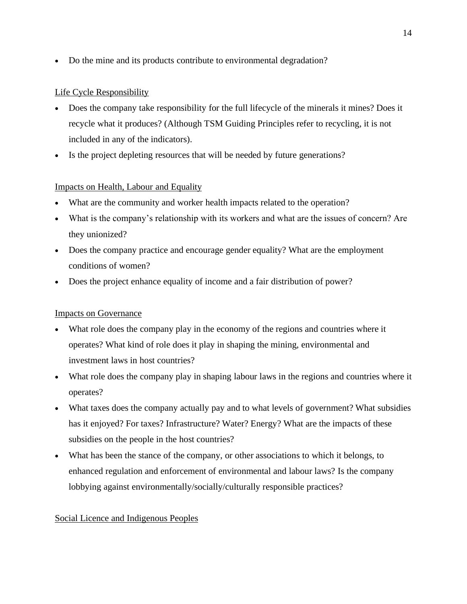• Do the mine and its products contribute to environmental degradation?

# Life Cycle Responsibility

- Does the company take responsibility for the full lifecycle of the minerals it mines? Does it recycle what it produces? (Although TSM Guiding Principles refer to recycling, it is not included in any of the indicators).
- Is the project depleting resources that will be needed by future generations?

# Impacts on Health, Labour and Equality

- What are the community and worker health impacts related to the operation?
- What is the company's relationship with its workers and what are the issues of concern? Are they unionized?
- Does the company practice and encourage gender equality? What are the employment conditions of women?
- Does the project enhance equality of income and a fair distribution of power?

# Impacts on Governance

- What role does the company play in the economy of the regions and countries where it operates? What kind of role does it play in shaping the mining, environmental and investment laws in host countries?
- What role does the company play in shaping labour laws in the regions and countries where it operates?
- What taxes does the company actually pay and to what levels of government? What subsidies has it enjoyed? For taxes? Infrastructure? Water? Energy? What are the impacts of these subsidies on the people in the host countries?
- What has been the stance of the company, or other associations to which it belongs, to enhanced regulation and enforcement of environmental and labour laws? Is the company lobbying against environmentally/socially/culturally responsible practices?

# Social Licence and Indigenous Peoples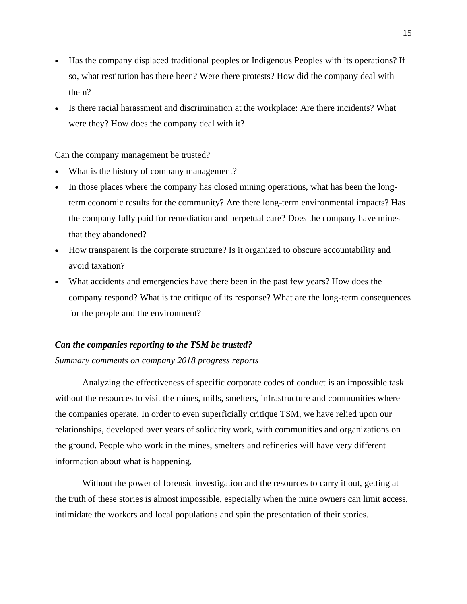- Has the company displaced traditional peoples or Indigenous Peoples with its operations? If so, what restitution has there been? Were there protests? How did the company deal with them?
- Is there racial harassment and discrimination at the workplace: Are there incidents? What were they? How does the company deal with it?

#### Can the company management be trusted?

- What is the history of company management?
- In those places where the company has closed mining operations, what has been the longterm economic results for the community? Are there long-term environmental impacts? Has the company fully paid for remediation and perpetual care? Does the company have mines that they abandoned?
- How transparent is the corporate structure? Is it organized to obscure accountability and avoid taxation?
- What accidents and emergencies have there been in the past few years? How does the company respond? What is the critique of its response? What are the long-term consequences for the people and the environment?

### *Can the companies reporting to the TSM be trusted?*

*Summary comments on company 2018 progress reports* 

Analyzing the effectiveness of specific corporate codes of conduct is an impossible task without the resources to visit the mines, mills, smelters, infrastructure and communities where the companies operate. In order to even superficially critique TSM, we have relied upon our relationships, developed over years of solidarity work, with communities and organizations on the ground. People who work in the mines, smelters and refineries will have very different information about what is happening.

Without the power of forensic investigation and the resources to carry it out, getting at the truth of these stories is almost impossible, especially when the mine owners can limit access, intimidate the workers and local populations and spin the presentation of their stories.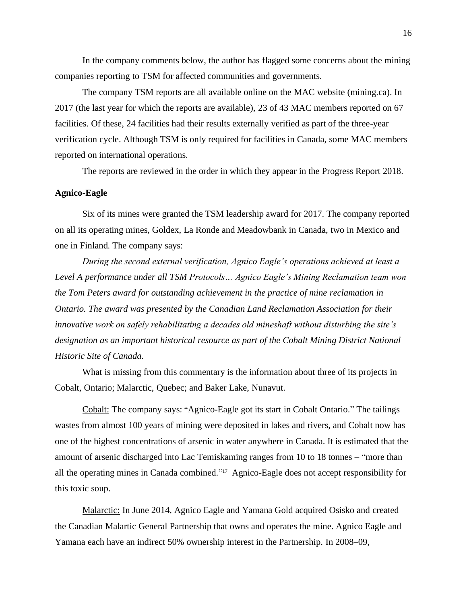In the company comments below, the author has flagged some concerns about the mining companies reporting to TSM for affected communities and governments.

The company TSM reports are all available online on the MAC website (mining.ca). In 2017 (the last year for which the reports are available), 23 of 43 MAC members reported on 67 facilities. Of these, 24 facilities had their results externally verified as part of the three-year verification cycle. Although TSM is only required for facilities in Canada, some MAC members reported on international operations.

The reports are reviewed in the order in which they appear in the Progress Report 2018.

# **Agnico-Eagle**

Six of its mines were granted the TSM leadership award for 2017. The company reported on all its operating mines, Goldex, La Ronde and Meadowbank in Canada, two in Mexico and one in Finland. The company says:

*During the second external verification, Agnico Eagle's operations achieved at least a Level A performance under all TSM Protocols… Agnico Eagle's Mining Reclamation team won the Tom Peters award for outstanding achievement in the practice of mine reclamation in Ontario. The award was presented by the Canadian Land Reclamation Association for their innovative work on safely rehabilitating a decades old mineshaft without disturbing the site's designation as an important historical resource as part of the Cobalt Mining District National Historic Site of Canada.*

What is missing from this commentary is the information about three of its projects in Cobalt, Ontario; Malarctic, Quebec; and Baker Lake, Nunavut.

Cobalt: The company says: "Agnico-Eagle got its start in Cobalt Ontario." The tailings wastes from almost 100 years of mining were deposited in lakes and rivers, and Cobalt now has one of the highest concentrations of arsenic in water anywhere in Canada. It is estimated that the amount of arsenic discharged into Lac Temiskaming ranges from 10 to 18 tonnes – "more than all the operating mines in Canada combined." <sup>17</sup> Agnico-Eagle does not accept responsibility for this toxic soup.

Malarctic: In June 2014, Agnico Eagle and Yamana Gold acquired Osisko and created the Canadian Malartic General Partnership that owns and operates the mine. Agnico Eagle and Yamana each have an indirect 50% ownership interest in the Partnership. In 2008–09,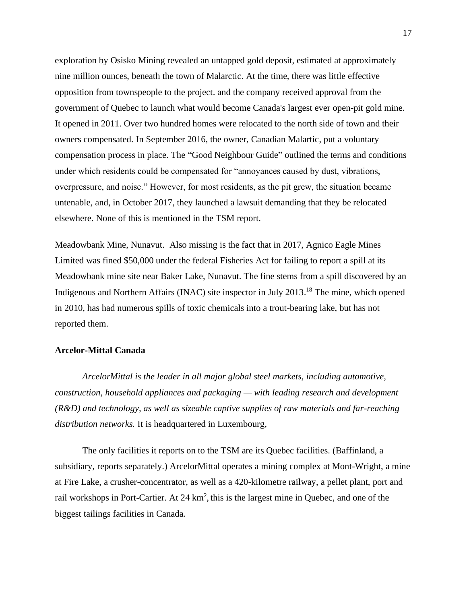exploration by Osisko Mining revealed an untapped gold deposit, estimated at approximately nine million ounces, beneath the town of Malarctic. At the time, there was little effective opposition from townspeople to the project. and the company received approval from the government of Quebec to launch what would become Canada's largest ever open-pit gold mine. It opened in 2011. Over two hundred homes were relocated to the north side of town and their owners compensated. In September 2016, the owner, Canadian Malartic, put a voluntary compensation process in place. The "Good Neighbour Guide" outlined the terms and conditions under which residents could be compensated for "annoyances caused by dust, vibrations, overpressure, and noise." However, for most residents, as the pit grew, the situation became untenable, and, in October 2017, they launched a lawsuit demanding that they be relocated elsewhere. None of this is mentioned in the TSM report.

Meadowbank Mine, Nunavut. Also missing is the fact that in 2017, Agnico Eagle Mines Limited was fined \$50,000 under the federal Fisheries Act for failing to report a spill at its Meadowbank mine site near Baker Lake, Nunavut. The fine stems from a spill discovered by an Indigenous and Northern Affairs (INAC) site inspector in July 2013.<sup>18</sup> The mine, which opened in 2010, has had numerous spills of toxic chemicals into a trout-bearing lake, but has not reported them.

# **Arcelor-Mittal Canada**

*ArcelorMittal is the leader in all major global steel markets, including automotive, construction, household appliances and packaging — with leading research and development (R&D) and technology, as well as sizeable captive supplies of raw materials and far-reaching distribution networks.* It is headquartered in Luxembourg,

The only facilities it reports on to the TSM are its Quebec facilities. (Baffinland, a subsidiary, reports separately.) ArcelorMittal operates a mining complex at Mont-Wright, a mine at Fire Lake, a crusher-concentrator, as well as a 420-kilometre railway, a pellet plant, port and rail workshops in Port-Cartier. At  $24 \text{ km}^2$ , this is the largest mine in Quebec, and one of the biggest tailings facilities in Canada.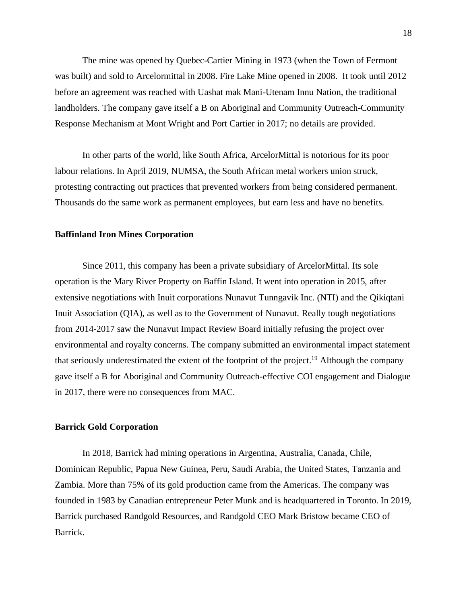The mine was opened by Quebec-Cartier Mining in 1973 (when the Town of Fermont was built) and sold to Arcelormittal in 2008. Fire Lake Mine opened in 2008. It took until 2012 before an agreement was reached with Uashat mak Mani-Utenam Innu Nation, the traditional landholders. The company gave itself a B on Aboriginal and Community Outreach-Community Response Mechanism at Mont Wright and Port Cartier in 2017; no details are provided.

In other parts of the world, like South Africa, ArcelorMittal is notorious for its poor labour relations. In April 2019, NUMSA, the South African metal workers union struck, protesting contracting out practices that prevented workers from being considered permanent. Thousands do the same work as permanent employees, but earn less and have no benefits.

### **Baffinland Iron Mines Corporation**

Since 2011, this company has been a private subsidiary of ArcelorMittal. Its sole operation is the Mary River Property on Baffin Island. It went into operation in 2015, after extensive negotiations with Inuit corporations Nunavut Tunngavik Inc. (NTI) and the Qikiqtani Inuit Association (QIA), as well as to the Government of Nunavut. Really tough negotiations from 2014-2017 saw the Nunavut Impact Review Board initially refusing the project over environmental and royalty concerns. The company submitted an environmental impact statement that seriously underestimated the extent of the footprint of the project. <sup>19</sup> Although the company gave itself a B for Aboriginal and Community Outreach-effective COI engagement and Dialogue in 2017, there were no consequences from MAC.

#### **Barrick Gold Corporation**

In 2018, Barrick had mining operations in Argentina, Australia, Canada, Chile, Dominican Republic, Papua New Guinea, Peru, Saudi Arabia, the United States, Tanzania and Zambia. More than 75% of its gold production came from the Americas. The company was founded in 1983 by Canadian entrepreneur Peter Munk and is headquartered in Toronto. In 2019, Barrick purchased Randgold Resources, and Randgold CEO Mark Bristow became CEO of Barrick.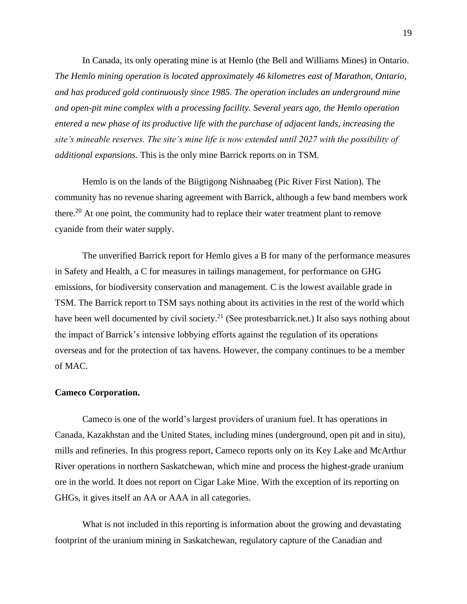In Canada, its only operating mine is at Hemlo (the Bell and Williams Mines) in Ontario. *The Hemlo mining operation is located approximately 46 kilometres east of Marathon, Ontario, and has produced gold continuously since 1985. The operation includes an underground mine and open-pit mine complex with a processing facility. Several years ago, the Hemlo operation entered a new phase of its productive life with the purchase of adjacent lands, increasing the site's mineable reserves. The site's mine life is now extended until 2027 with the possibility of additional expansions.* This is the only mine Barrick reports on in TSM.

Hemlo is on the lands of the Biigtigong Nishnaabeg (Pic River First Nation). The community has no revenue sharing agreement with Barrick, although a few band members work there.<sup>20</sup> At one point, the community had to replace their water treatment plant to remove cyanide from their water supply.

The unverified Barrick report for Hemlo gives a B for many of the performance measures in Safety and Health, a C for measures in tailings management, for performance on GHG emissions, for biodiversity conservation and management. C is the lowest available grade in TSM. The Barrick report to TSM says nothing about its activities in the rest of the world which have been well documented by civil society.<sup>21</sup> (See protestbarrick.net.) It also says nothing about the impact of Barrick's intensive lobbying efforts against the regulation of its operations overseas and for the protection of tax havens. However, the company continues to be a member of MAC.

#### **Cameco Corporation.**

Cameco is one of the world's largest providers of uranium fuel. It has operations in Canada, Kazakhstan and the United States, including mines (underground, open pit and in situ), mills and refineries. In this progress report, Cameco reports only on its Key Lake and McArthur River operations in northern Saskatchewan, which mine and process the highest-grade uranium ore in the world. It does not report on Cigar Lake Mine. With the exception of its reporting on GHGs, it gives itself an AA or AAA in all categories.

What is not included in this reporting is information about the growing and devastating footprint of the uranium mining in Saskatchewan, regulatory capture of the Canadian and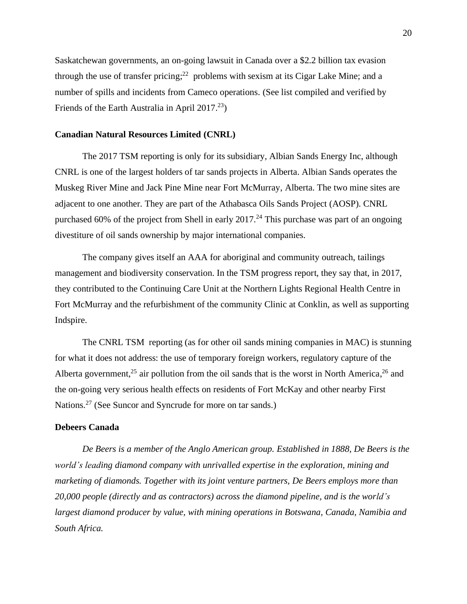Saskatchewan governments, an on-going lawsuit in Canada over a \$2.2 billion tax evasion through the use of transfer pricing; $^{22}$  problems with sexism at its Cigar Lake Mine; and a number of spills and incidents from Cameco operations. (See list compiled and verified by Friends of the Earth Australia in April 2017.<sup>23</sup>)

# **Canadian Natural Resources Limited (CNRL)**

The 2017 TSM reporting is only for its subsidiary, Albian Sands Energy Inc, although CNRL is one of the largest holders of tar sands projects in Alberta. Albian Sands operates the Muskeg River Mine and Jack Pine Mine near Fort McMurray, Alberta. The two mine sites are adjacent to one another. They are part of the Athabasca Oils Sands Project (AOSP). CNRL purchased 60% of the project from Shell in early  $2017<sup>24</sup>$  This purchase was part of an ongoing divestiture of oil sands ownership by major international companies.

The company gives itself an AAA for aboriginal and community outreach, tailings management and biodiversity conservation. In the TSM progress report, they say that, in 2017, they contributed to the Continuing Care Unit at the Northern Lights Regional Health Centre in Fort McMurray and the refurbishment of the community Clinic at Conklin, as well as supporting Indspire.

The CNRL TSM reporting (as for other oil sands mining companies in MAC) is stunning for what it does not address: the use of temporary foreign workers, regulatory capture of the Alberta government,<sup>25</sup> air pollution from the oil sands that is the worst in North America,<sup>26</sup> and the on-going very serious health effects on residents of Fort McKay and other nearby First Nations.<sup>27</sup> (See Suncor and Syncrude for more on tar sands.)

### **Debeers Canada**

*De Beers is a member of the Anglo American group. Established in 1888, De Beers is the world's leading diamond company with unrivalled expertise in the exploration, mining and marketing of diamonds. Together with its joint venture partners, De Beers employs more than 20,000 people (directly and as contractors) across the diamond pipeline, and is the world's largest diamond producer by value, with mining operations in Botswana, Canada, Namibia and South Africa.*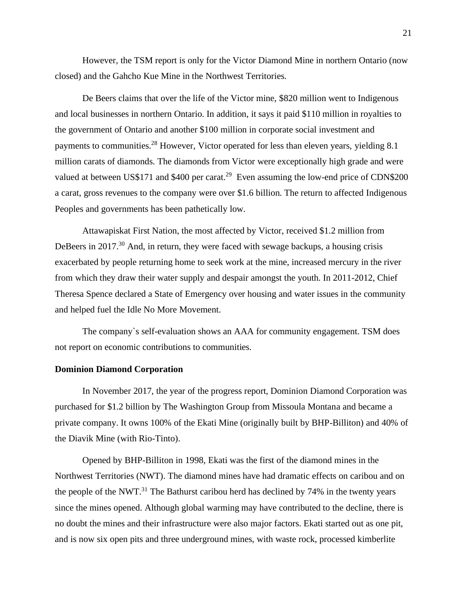However, the TSM report is only for the Victor Diamond Mine in northern Ontario (now closed) and the Gahcho Kue Mine in the Northwest Territories.

De Beers claims that over the life of the Victor mine, \$820 million went to Indigenous and local businesses in northern Ontario. In addition, it says it paid \$110 million in royalties to the government of Ontario and another \$100 million in corporate social investment and payments to communities.<sup>28</sup> However, Victor operated for less than eleven years, yielding 8.1 million carats of diamonds. The diamonds from Victor were exceptionally high grade and were valued at between US\$171 and \$400 per carat.<sup>29</sup> Even assuming the low-end price of CDN\$200 a carat, gross revenues to the company were over \$1.6 billion. The return to affected Indigenous Peoples and governments has been pathetically low.

Attawapiskat First Nation, the most affected by Victor, received \$1.2 million from DeBeers in 2017.<sup>30</sup> And, in return, they were faced with sewage backups, a housing crisis exacerbated by people returning home to seek work at the mine, increased mercury in the river from which they draw their water supply and despair amongst the youth. In 2011-2012, Chief Theresa Spence declared a State of Emergency over housing and water issues in the community and helped fuel the Idle No More Movement.

The company`s self-evaluation shows an AAA for community engagement. TSM does not report on economic contributions to communities.

## **Dominion Diamond Corporation**

In November 2017, the year of the progress report, Dominion Diamond Corporation was purchased for \$1.2 billion by The Washington Group from Missoula Montana and became a private company. It owns 100% of the Ekati Mine (originally built by BHP-Billiton) and 40% of the Diavik Mine (with Rio-Tinto).

Opened by BHP-Billiton in 1998, Ekati was the first of the diamond mines in the Northwest Territories (NWT). The diamond mines have had dramatic effects on caribou and on the people of the NWT.<sup>31</sup> The Bathurst caribou herd has declined by 74% in the twenty years since the mines opened. Although global warming may have contributed to the decline, there is no doubt the mines and their infrastructure were also major factors. Ekati started out as one pit, and is now six open pits and three underground mines, with waste rock, processed kimberlite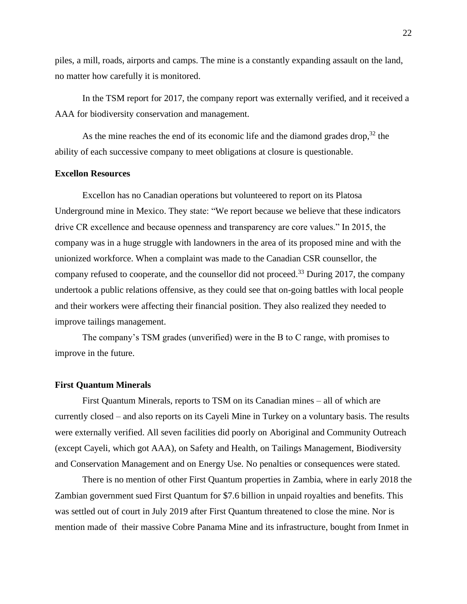piles, a mill, roads, airports and camps. The mine is a constantly expanding assault on the land, no matter how carefully it is monitored.

In the TSM report for 2017, the company report was externally verified, and it received a AAA for biodiversity conservation and management.

As the mine reaches the end of its economic life and the diamond grades drop,<sup>32</sup> the ability of each successive company to meet obligations at closure is questionable.

# **Excellon Resources**

Excellon has no Canadian operations but volunteered to report on its Platosa Underground mine in Mexico. They state: "We report because we believe that these indicators drive CR excellence and because openness and transparency are core values." In 2015, the company was in a huge struggle with landowners in the area of its proposed mine and with the unionized workforce. When a complaint was made to the Canadian CSR counsellor, the company refused to cooperate, and the counsellor did not proceed.<sup>33</sup> During 2017, the company undertook a public relations offensive, as they could see that on-going battles with local people and their workers were affecting their financial position. They also realized they needed to improve tailings management.

The company's TSM grades (unverified) were in the B to C range, with promises to improve in the future.

#### **First Quantum Minerals**

First Quantum Minerals, reports to TSM on its Canadian mines – all of which are currently closed – and also reports on its Cayeli Mine in Turkey on a voluntary basis. The results were externally verified. All seven facilities did poorly on Aboriginal and Community Outreach (except Cayeli, which got AAA), on Safety and Health, on Tailings Management, Biodiversity and Conservation Management and on Energy Use. No penalties or consequences were stated.

There is no mention of other First Quantum properties in Zambia, where in early 2018 the Zambian government sued First Quantum for \$7.6 billion in unpaid royalties and benefits. This was settled out of court in July 2019 after First Quantum threatened to close the mine. Nor is mention made of their massive Cobre Panama Mine and its infrastructure, bought from Inmet in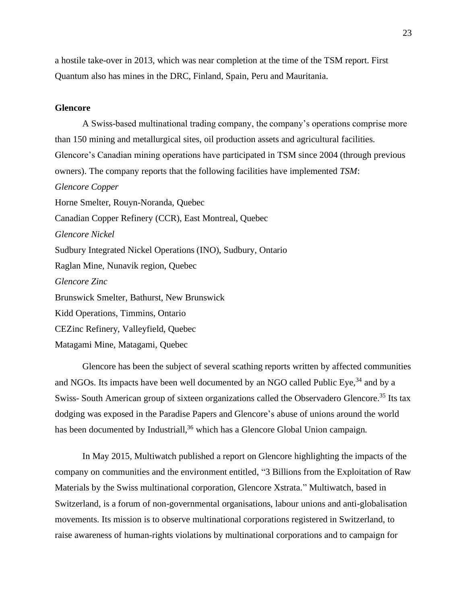a hostile take-over in 2013, which was near completion at the time of the TSM report. First Quantum also has mines in the DRC, Finland, Spain, Peru and Mauritania.

#### **Glencore**

A Swiss-based multinational trading company, the company's operations comprise more than 150 mining and metallurgical sites, oil production assets and agricultural facilities. Glencore's Canadian mining operations have participated in TSM since 2004 (through previous owners). The company reports that the following facilities have implemented *TSM*: *Glencore Copper* Horne Smelter, Rouyn-Noranda, Quebec Canadian Copper Refinery (CCR), East Montreal, Quebec *Glencore Nickel* Sudbury Integrated Nickel Operations (INO), Sudbury, Ontario Raglan Mine, Nunavik region, Quebec *Glencore Zinc* Brunswick Smelter, Bathurst, New Brunswick Kidd Operations, Timmins, Ontario CEZinc Refinery, Valleyfield, Quebec Matagami Mine, Matagami, Quebec

Glencore has been the subject of several scathing reports written by affected communities and NGOs. Its impacts have been well documented by an NGO called Public Eye,<sup>34</sup> and by a Swiss- South American group of sixteen organizations called the Observadero Glencore.<sup>35</sup> Its tax dodging was exposed in the Paradise Papers and Glencore's abuse of unions around the world has been documented by Industriall,<sup>36</sup> which has a Glencore Global Union campaign.

In May 2015, Multiwatch published a report on Glencore highlighting the impacts of the company on communities and the environment entitled, "3 Billions from the Exploitation of Raw Materials by the Swiss multinational corporation, Glencore Xstrata." Multiwatch, based in Switzerland, is a forum of non-governmental organisations, labour unions and anti-globalisation movements. Its mission is to observe multinational corporations registered in Switzerland, to raise awareness of human-rights violations by multinational corporations and to campaign for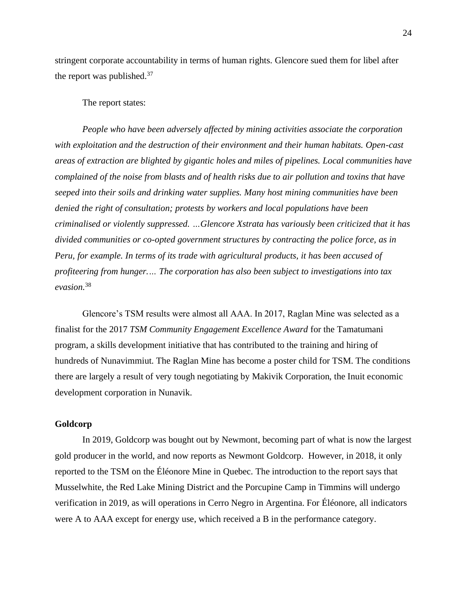stringent corporate accountability in terms of human rights. Glencore sued them for libel after the report was published.<sup>37</sup>

#### The report states:

*People who have been adversely affected by mining activities associate the corporation with exploitation and the destruction of their environment and their human habitats. Open-cast areas of extraction are blighted by gigantic holes and miles of pipelines. Local communities have complained of the noise from blasts and of health risks due to air pollution and toxins that have seeped into their soils and drinking water supplies. Many host mining communities have been denied the right of consultation; protests by workers and local populations have been criminalised or violently suppressed. …Glencore Xstrata has variously been criticized that it has divided communities or co-opted government structures by contracting the police force, as in Peru, for example. In terms of its trade with agricultural products, it has been accused of profiteering from hunger.… The corporation has also been subject to investigations into tax evasion.* 38

Glencore's TSM results were almost all AAA. In 2017, Raglan Mine was selected as a finalist for the 2017 *TSM Community Engagement Excellence Award* for the Tamatumani program, a skills development initiative that has contributed to the training and hiring of hundreds of Nunavimmiut. The Raglan Mine has become a poster child for TSM. The conditions there are largely a result of very tough negotiating by Makivik Corporation, the Inuit economic development corporation in Nunavik.

### **Goldcorp**

In 2019, Goldcorp was bought out by Newmont, becoming part of what is now the largest gold producer in the world, and now reports as Newmont Goldcorp. However, in 2018, it only reported to the TSM on the Éléonore Mine in Quebec. The introduction to the report says that Musselwhite, the Red Lake Mining District and the Porcupine Camp in Timmins will undergo verification in 2019, as will operations in Cerro Negro in Argentina. For Éléonore, all indicators were A to AAA except for energy use, which received a B in the performance category.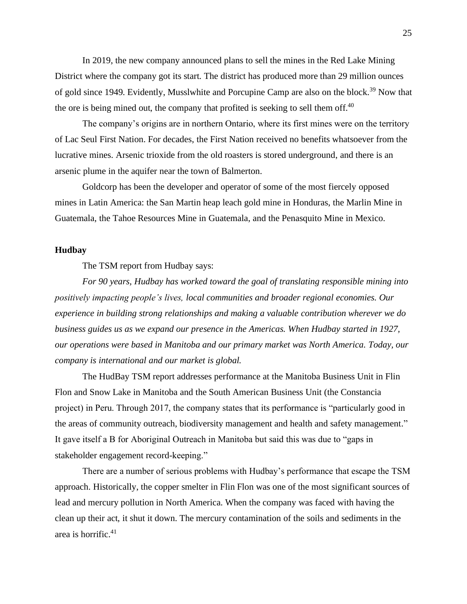In 2019, the new company announced plans to sell the mines in the Red Lake Mining District where the company got its start. The district has produced more than 29 million ounces of gold since 1949. Evidently, Musslwhite and Porcupine Camp are also on the block.<sup>39</sup> Now that the ore is being mined out, the company that profited is seeking to sell them off.<sup>40</sup>

The company's origins are in northern Ontario, where its first mines were on the territory of Lac Seul First Nation. For decades, the First Nation received no benefits whatsoever from the lucrative mines. Arsenic trioxide from the old roasters is stored underground, and there is an arsenic plume in the aquifer near the town of Balmerton.

Goldcorp has been the developer and operator of some of the most fiercely opposed mines in Latin America: the San Martin heap leach gold mine in Honduras, the Marlin Mine in Guatemala, the Tahoe Resources Mine in Guatemala, and the Penasquito Mine in Mexico.

### **Hudbay**

The TSM report from Hudbay says:

*For 90 years, Hudbay has worked toward the goal of translating responsible mining into positively impacting people's lives, local communities and broader regional economies. Our experience in building strong relationships and making a valuable contribution wherever we do business guides us as we expand our presence in the Americas. When Hudbay started in 1927, our operations were based in Manitoba and our primary market was North America. Today, our company is international and our market is global.*

The HudBay TSM report addresses performance at the Manitoba Business Unit in Flin Flon and Snow Lake in Manitoba and the South American Business Unit (the Constancia project) in Peru. Through 2017, the company states that its performance is "particularly good in the areas of community outreach, biodiversity management and health and safety management." It gave itself a B for Aboriginal Outreach in Manitoba but said this was due to "gaps in stakeholder engagement record-keeping."

There are a number of serious problems with Hudbay's performance that escape the TSM approach. Historically, the copper smelter in Flin Flon was one of the most significant sources of lead and mercury pollution in North America. When the company was faced with having the clean up their act, it shut it down. The mercury contamination of the soils and sediments in the area is horrific. $41$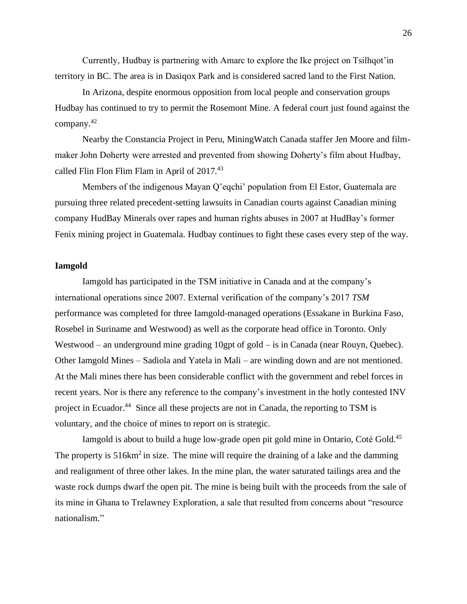Currently, Hudbay is partnering with Amarc to explore the Ike project on Tsilhqot'in territory in BC. The area is in Dasiqox Park and is considered sacred land to the First Nation.

In Arizona, despite enormous opposition from local people and conservation groups Hudbay has continued to try to permit the Rosemont Mine. A federal court just found against the company.<sup>42</sup>

Nearby the Constancia Project in Peru, MiningWatch Canada staffer Jen Moore and filmmaker John Doherty were arrested and prevented from showing Doherty's film about Hudbay, called Flin Flon Flim Flam in April of 2017.<sup>43</sup>

Members of the indigenous Mayan Q'eqchi' population from El Estor, Guatemala are pursuing three related precedent-setting lawsuits in Canadian courts against Canadian mining company HudBay Minerals over rapes and human rights abuses in 2007 at HudBay's former Fenix mining project in Guatemala. Hudbay continues to fight these cases every step of the way.

### **Iamgold**

Iamgold has participated in the TSM initiative in Canada and at the company's international operations since 2007. External verification of the company's 2017 *TSM*  performance was completed for three Iamgold-managed operations (Essakane in Burkina Faso, Rosebel in Suriname and Westwood) as well as the corporate head office in Toronto. Only Westwood – an underground mine grading 10gpt of gold – is in Canada (near Rouyn, Quebec). Other Iamgold Mines – Sadiola and Yatela in Mali – are winding down and are not mentioned. At the Mali mines there has been considerable conflict with the government and rebel forces in recent years. Nor is there any reference to the company's investment in the hotly contested INV project in Ecuador.<sup>44</sup> Since all these projects are not in Canada, the reporting to TSM is voluntary, and the choice of mines to report on is strategic.

Iamgold is about to build a huge low-grade open pit gold mine in Ontario, Coté Gold.<sup>45</sup> The property is  $516 \text{km}^2$  in size. The mine will require the draining of a lake and the damming and realignment of three other lakes. In the mine plan, the water saturated tailings area and the waste rock dumps dwarf the open pit. The mine is being built with the proceeds from the sale of its mine in Ghana to Trelawney Exploration, a sale that resulted from concerns about "resource nationalism."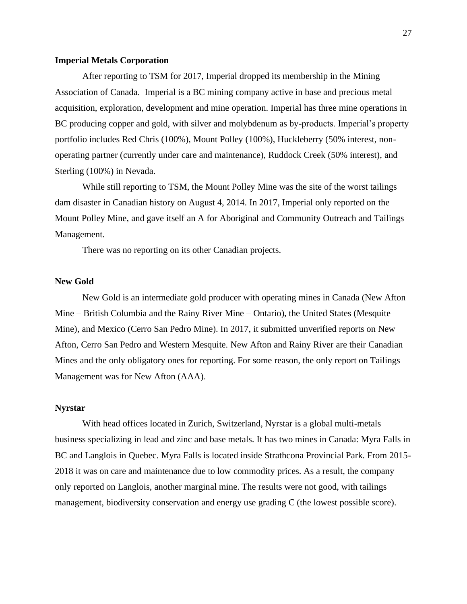#### **Imperial Metals Corporation**

After reporting to TSM for 2017, Imperial dropped its membership in the Mining Association of Canada. Imperial is a BC mining company active in base and precious metal acquisition, exploration, development and mine operation. Imperial has three mine operations in BC producing copper and gold, with silver and molybdenum as by-products. Imperial's property portfolio includes Red Chris (100%), Mount Polley (100%), Huckleberry (50% interest, nonoperating partner (currently under care and maintenance), Ruddock Creek (50% interest), and Sterling (100%) in Nevada.

While still reporting to TSM, the Mount Polley Mine was the site of the worst tailings dam disaster in Canadian history on August 4, 2014. In 2017, Imperial only reported on the Mount Polley Mine, and gave itself an A for Aboriginal and Community Outreach and Tailings Management.

There was no reporting on its other Canadian projects.

# **New Gold**

New Gold is an intermediate gold producer with operating mines in Canada (New Afton Mine – British Columbia and the Rainy River Mine – Ontario), the United States (Mesquite Mine), and Mexico (Cerro San Pedro Mine). In 2017, it submitted unverified reports on New Afton, Cerro San Pedro and Western Mesquite. New Afton and Rainy River are their Canadian Mines and the only obligatory ones for reporting. For some reason, the only report on Tailings Management was for New Afton (AAA).

### **Nyrstar**

With head offices located in Zurich, Switzerland, Nyrstar is a global multi-metals business specializing in lead and zinc and base metals. It has two mines in Canada: Myra Falls in BC and Langlois in Quebec. Myra Falls is located inside Strathcona Provincial Park. From 2015- 2018 it was on care and maintenance due to low commodity prices. As a result, the company only reported on Langlois, another marginal mine. The results were not good, with tailings management, biodiversity conservation and energy use grading C (the lowest possible score).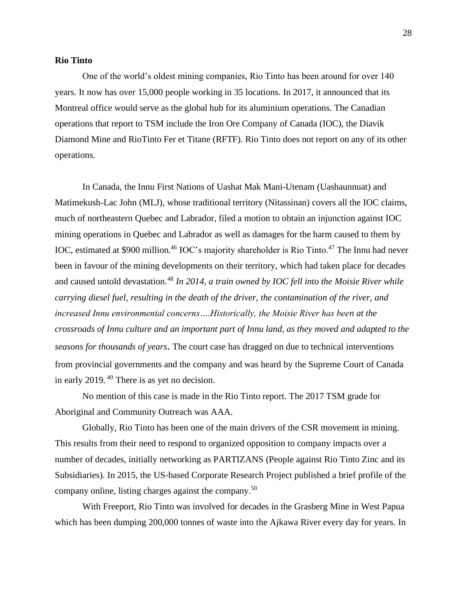### **Rio Tinto**

One of the world's oldest mining companies, Rio Tinto has been around for over 140 years. It now has over 15,000 people working in 35 locations. In 2017, it announced that its Montreal office would serve as the global hub for its aluminium operations. The Canadian operations that report to TSM include the Iron Ore Company of Canada (IOC), the Diavik Diamond Mine and RioTinto Fer et Titane (RFTF). Rio Tinto does not report on any of its other operations.

In Canada, the Innu First Nations of Uashat Mak Mani-Utenam (Uashaunnuat) and Matimekush-Lac John (MLJ), whose traditional territory (Nitassinan) covers all the IOC claims, much of northeastern Quebec and Labrador, filed a motion to obtain an injunction against IOC mining operations in Quebec and Labrador as well as damages for the harm caused to them by IOC, estimated at \$900 million.<sup>46</sup> IOC's majority shareholder is Rio Tinto.<sup>47</sup> The Innu had never been in favour of the mining developments on their territory, which had taken place for decades and caused untold devastation.<sup>48</sup> In 2014, a train owned by IOC fell into the Moisie River while *carrying diesel fuel, resulting in the death of the driver, the contamination of the river, and increased Innu environmental concerns….Historically, the Moisie River has been at the crossroads of Innu culture and an important part of Innu land, as they moved and adapted to the seasons for thousands of years*. The court case has dragged on due to technical interventions from provincial governments and the company and was heard by the Supreme Court of Canada in early 2019. <sup>49</sup> There is as yet no decision.

No mention of this case is made in the Rio Tinto report. The 2017 TSM grade for Aboriginal and Community Outreach was AAA.

Globally, Rio Tinto has been one of the main drivers of the CSR movement in mining. This results from their need to respond to organized opposition to company impacts over a number of decades, initially networking as PARTIZANS (People against Rio Tinto Zinc and its Subsidiaries). In 2015, the US-based Corporate Research Project published a brief profile of the company online, listing charges against the company.<sup>50</sup>

With Freeport, Rio Tinto was involved for decades in the Grasberg Mine in West Papua which has been dumping 200,000 tonnes of waste into the Ajkawa River every day for years. In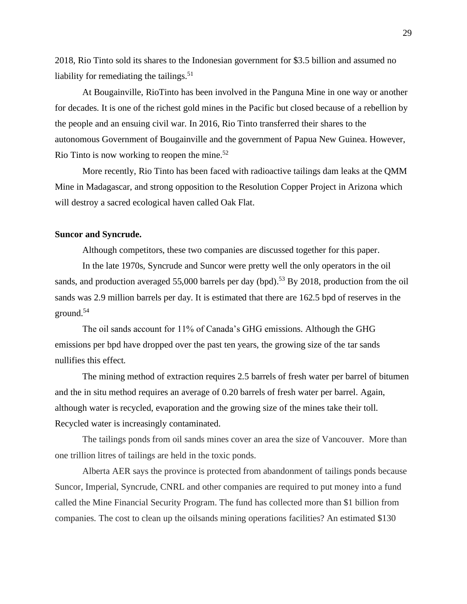2018, Rio Tinto sold its shares to the Indonesian government for \$3.5 billion and assumed no liability for remediating the tailings. $51$ 

At Bougainville, RioTinto has been involved in the Panguna Mine in one way or another for decades. It is one of the richest gold mines in the Pacific but closed because of a rebellion by the people and an ensuing civil war. In 2016, Rio Tinto transferred their shares to the autonomous Government of Bougainville and the government of Papua New Guinea. However, Rio Tinto is now working to reopen the mine.<sup>52</sup>

More recently, Rio Tinto has been faced with radioactive tailings dam leaks at the QMM Mine in Madagascar, and strong opposition to the Resolution Copper Project in Arizona which will destroy a sacred ecological haven called Oak Flat.

### **Suncor and Syncrude.**

Although competitors, these two companies are discussed together for this paper.

In the late 1970s, Syncrude and Suncor were pretty well the only operators in the oil sands, and production averaged 55,000 barrels per day (bpd).<sup>53</sup> By 2018, production from the oil sands was 2.9 million barrels per day. It is estimated that there are 162.5 bpd of reserves in the ground.<sup>54</sup>

The oil sands account for 11% of Canada's GHG emissions. Although the GHG emissions per bpd have dropped over the past ten years, the growing size of the tar sands nullifies this effect.

The mining method of extraction requires 2.5 barrels of fresh water per barrel of bitumen and the in situ method requires an average of 0.20 barrels of fresh water per barrel. Again, although water is recycled, evaporation and the growing size of the mines take their toll. Recycled water is increasingly contaminated.

The tailings ponds from oil sands mines cover an area the size of Vancouver. More than one trillion litres of tailings are held in the toxic ponds.

Alberta AER says the province is protected from abandonment of tailings ponds because Suncor, Imperial, Syncrude, CNRL and other companies are required to put money into a fund called the Mine Financial Security Program. The fund has collected more than \$1 billion from companies. The cost to clean up the oilsands mining operations facilities? An estimated \$130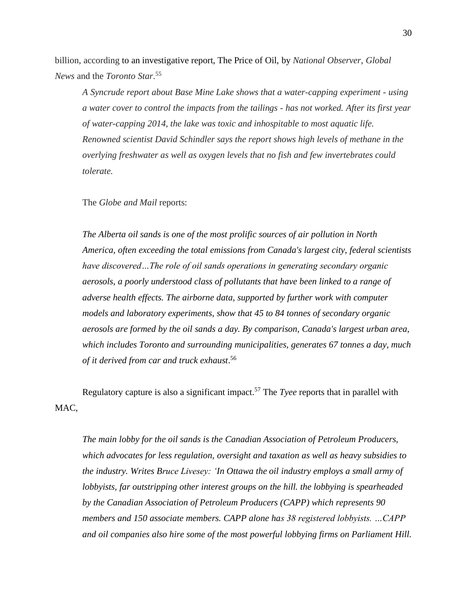billion, according to an investigative report, The Price of Oil, by *National Observer*, *Global News* and the *Toronto Star*. 55

*A Syncrude report about Base Mine Lake shows that a water-capping experiment - using a water cover to control the impacts from the tailings - has not worked. After its first year of water-capping 2014, the lake was toxic and inhospitable to most aquatic life. Renowned scientist David Schindler says the report shows high levels of methane in the overlying freshwater as well as oxygen levels that no fish and few invertebrates could tolerate.* 

The *Globe and Mail* reports:

*The Alberta oil sands is one of the most prolific sources of air pollution in North America, often exceeding the total emissions from Canada's largest city, federal scientists have discovered…The role of oil sands operations in generating secondary organic aerosols, a poorly understood class of pollutants that have been linked to a range of adverse health effects. The airborne data, supported by further work with computer models and laboratory experiments, show that 45 to 84 tonnes of secondary organic aerosols are formed by the oil sands a day. By comparison, Canada's largest urban area, which includes Toronto and surrounding municipalities, generates 67 tonnes a day, much of it derived from car and truck exhaust*. 56

Regulatory capture is also a significant impact.<sup>57</sup> The *Tyee* reports that in parallel with MAC.

*The main lobby for the oil sands is the Canadian Association of Petroleum Producers, which advocates for less regulation, oversight and taxation as well as heavy subsidies to the industry. Writes Bruce Livesey: 'In Ottawa the oil industry employs a small army of lobbyists, far outstripping other interest groups on the hill. the lobbying is spearheaded by the Canadian Association of Petroleum Producers (CAPP) which represents 90 members and 150 associate members. CAPP alone has 38 registered lobbyists. …CAPP and oil companies also hire some of the most powerful lobbying firms on Parliament Hill.*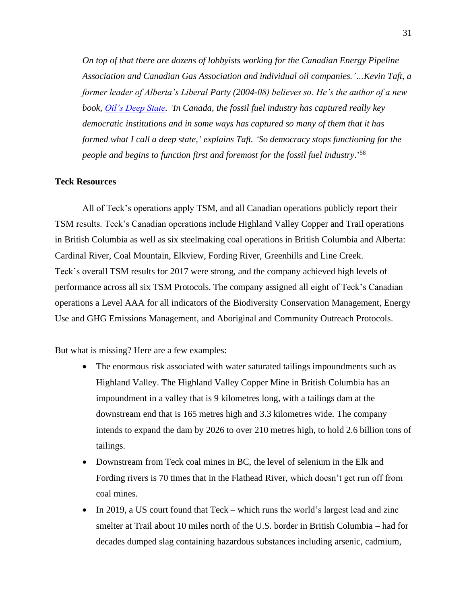*On top of that there are dozens of lobbyists working for the Canadian Energy Pipeline Association and Canadian Gas Association and individual oil companies.'…Kevin Taft, a former leader of Alberta's Liberal Party (2004-08) believes so. He's the author of a new book, [Oil's Deep State.](http://www.lorimer.ca/adults/Book/3012/Oils-Deep-State.html) 'In Canada, the fossil fuel industry has captured really key democratic institutions and in some ways has captured so many of them that it has formed what I call a deep state,' explains Taft. 'So democracy stops functioning for the people and begins to function first and foremost for the fossil fuel industry*.' 58

### **Teck Resources**

All of Teck's operations apply TSM, and all Canadian operations publicly report their TSM results. Teck's Canadian operations include Highland Valley Copper and Trail operations in British Columbia as well as six steelmaking coal operations in British Columbia and Alberta: Cardinal River, Coal Mountain, Elkview, Fording River, Greenhills and Line Creek. Teck's overall TSM results for 2017 were strong, and the company achieved high levels of performance across all six TSM Protocols. The company assigned all eight of Teck's Canadian operations a Level AAA for all indicators of the Biodiversity Conservation Management, Energy Use and GHG Emissions Management, and Aboriginal and Community Outreach Protocols.

But what is missing? Here are a few examples:

- The enormous risk associated with water saturated tailings impoundments such as Highland Valley. The Highland Valley Copper Mine in British Columbia has an impoundment in a valley that is 9 kilometres long, with a tailings dam at the downstream end that is 165 metres high and 3.3 kilometres wide. The company intends to expand the dam by 2026 to over 210 metres high, to hold 2.6 billion tons of tailings.
- Downstream from Teck coal mines in BC, the level of selenium in the Elk and Fording rivers is 70 times that in the Flathead River, which doesn't get run off from coal mines.
- In 2019, a US court found that Teck which runs the world's largest lead and zinc smelter at Trail about 10 miles north of the U.S. border in British Columbia – had for decades dumped slag containing hazardous substances including arsenic, cadmium,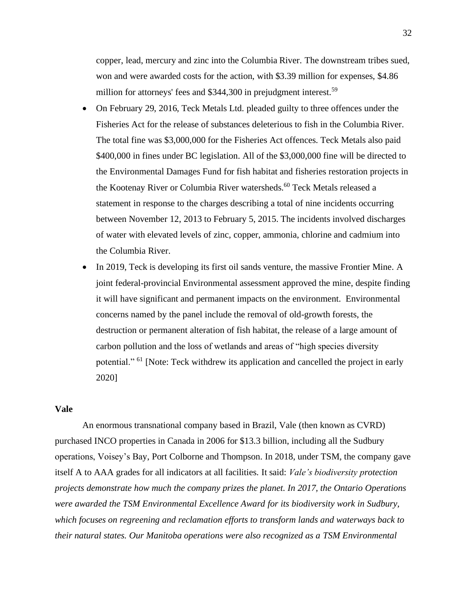copper, lead, mercury and zinc into the Columbia River. The downstream tribes sued, won and were awarded costs for the action, with \$3.39 million for expenses, \$4.86 million for attorneys' fees and \$344,300 in prejudgment interest.<sup>59</sup>

- On February 29, 2016, Teck Metals Ltd. pleaded guilty to three offences under the Fisheries Act for the release of substances deleterious to fish in the Columbia River. The total fine was \$3,000,000 for the Fisheries Act offences. Teck Metals also paid \$400,000 in fines under BC legislation. All of the \$3,000,000 fine will be directed to the Environmental Damages Fund for fish habitat and fisheries restoration projects in the Kootenay River or Columbia River watersheds.<sup>60</sup> Teck Metals released a statement in response to the charges describing a total of nine incidents occurring between November 12, 2013 to February 5, 2015. The incidents involved discharges of water with elevated levels of zinc, copper, ammonia, chlorine and cadmium into the Columbia River.
- In 2019, Teck is developing its first oil sands venture, the massive Frontier Mine. A joint federal-provincial Environmental assessment approved the mine, despite finding it will have significant and permanent impacts on the environment. Environmental concerns named by the panel include the removal of old-growth forests, the destruction or permanent alteration of fish habitat, the release of a large amount of carbon pollution and the loss of wetlands and areas of "high species diversity potential." <sup>61</sup> [Note: Teck withdrew its application and cancelled the project in early 2020]

#### **Vale**

An enormous transnational company based in Brazil, Vale (then known as CVRD) purchased INCO properties in Canada in 2006 for \$13.3 billion, including all the Sudbury operations, Voisey's Bay, Port Colborne and Thompson. In 2018, under TSM, the company gave itself A to AAA grades for all indicators at all facilities. It said: *Vale's biodiversity protection projects demonstrate how much the company prizes the planet. In 2017, the Ontario Operations were awarded the TSM Environmental Excellence Award for its biodiversity work in Sudbury, which focuses on regreening and reclamation efforts to transform lands and waterways back to their natural states. Our Manitoba operations were also recognized as a TSM Environmental*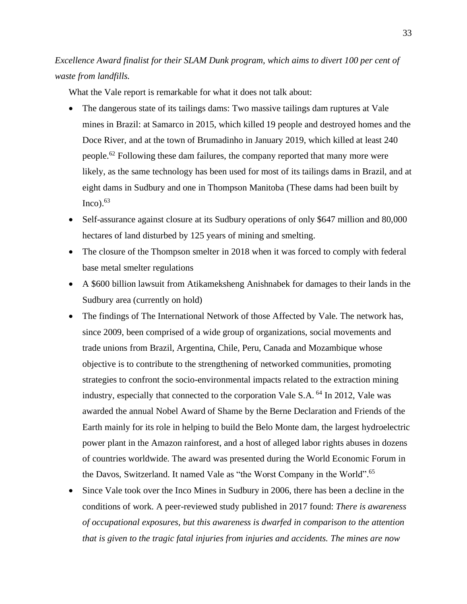*Excellence Award finalist for their SLAM Dunk program, which aims to divert 100 per cent of waste from landfills.*

What the Vale report is remarkable for what it does not talk about:

- The dangerous state of its tailings dams: Two massive tailings dam ruptures at Vale mines in Brazil: at Samarco in 2015, which killed 19 people and destroyed homes and the Doce River, and at the town of Brumadinho in January 2019, which killed at least 240 people.<sup>62</sup> Following these dam failures, the company reported that many more were likely, as the same technology has been used for most of its tailings dams in Brazil, and at eight dams in Sudbury and one in Thompson Manitoba (These dams had been built by  $Inco$ ).  $63$
- Self-assurance against closure at its Sudbury operations of only \$647 million and 80,000 hectares of land disturbed by 125 years of mining and smelting.
- The closure of the Thompson smelter in 2018 when it was forced to comply with federal base metal smelter regulations
- A \$600 billion lawsuit from Atikameksheng Anishnabek for damages to their lands in the Sudbury area (currently on hold)
- The findings of The International Network of those Affected by Vale. The network has, since 2009, been comprised of a wide group of organizations, social movements and trade unions from Brazil, Argentina, Chile, Peru, Canada and Mozambique whose objective is to contribute to the strengthening of networked communities, promoting strategies to confront the socio-environmental impacts related to the extraction mining industry, especially that connected to the corporation Vale S.A. <sup>64</sup> In 2012, Vale was awarded the annual Nobel Award of Shame by the Berne Declaration and Friends of the Earth mainly for its role in helping to build the Belo Monte dam, the largest hydroelectric power plant in the Amazon rainforest, and a host of alleged labor rights abuses in dozens of countries worldwide. The award was presented during the World Economic Forum in the Davos, Switzerland. It named Vale as "the Worst Company in the World".<sup>65</sup>
- Since Vale took over the Inco Mines in Sudbury in 2006, there has been a decline in the conditions of work. A peer-reviewed study published in 2017 found: *There is awareness of occupational exposures, but this awareness is dwarfed in comparison to the attention that is given to the tragic fatal injuries from injuries and accidents. The mines are now*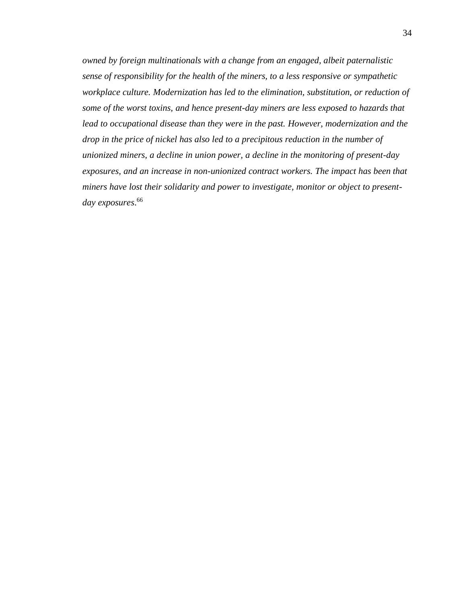*owned by foreign multinationals with a change from an engaged, albeit paternalistic sense of responsibility for the health of the miners, to a less responsive or sympathetic workplace culture. Modernization has led to the elimination, substitution, or reduction of some of the worst toxins, and hence present-day miners are less exposed to hazards that lead to occupational disease than they were in the past. However, modernization and the drop in the price of nickel has also led to a precipitous reduction in the number of unionized miners, a decline in union power, a decline in the monitoring of present-day exposures, and an increase in non-unionized contract workers. The impact has been that miners have lost their solidarity and power to investigate, monitor or object to presentday exposures*. 66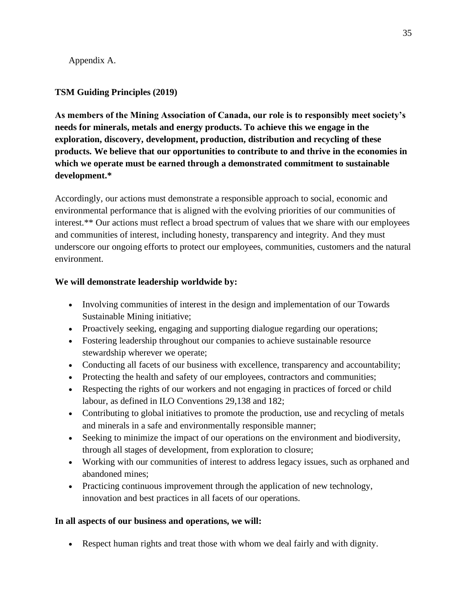Appendix A.

# **TSM Guiding Principles (2019)**

**As members of the Mining Association of Canada, our role is to responsibly meet society's needs for minerals, metals and energy products. To achieve this we engage in the exploration, discovery, development, production, distribution and recycling of these products. We believe that our opportunities to contribute to and thrive in the economies in which we operate must be earned through a demonstrated commitment to sustainable development.\***

Accordingly, our actions must demonstrate a responsible approach to social, economic and environmental performance that is aligned with the evolving priorities of our communities of interest.\*\* Our actions must reflect a broad spectrum of values that we share with our employees and communities of interest, including honesty, transparency and integrity. And they must underscore our ongoing efforts to protect our employees, communities, customers and the natural environment.

# **We will demonstrate leadership worldwide by:**

- Involving communities of interest in the design and implementation of our Towards Sustainable Mining initiative;
- Proactively seeking, engaging and supporting dialogue regarding our operations;
- Fostering leadership throughout our companies to achieve sustainable resource stewardship wherever we operate;
- Conducting all facets of our business with excellence, transparency and accountability;
- Protecting the health and safety of our employees, contractors and communities;
- Respecting the rights of our workers and not engaging in practices of forced or child labour, as defined in ILO Conventions 29,138 and 182;
- Contributing to global initiatives to promote the production, use and recycling of metals and minerals in a safe and environmentally responsible manner;
- Seeking to minimize the impact of our operations on the environment and biodiversity, through all stages of development, from exploration to closure;
- Working with our communities of interest to address legacy issues, such as orphaned and abandoned mines;
- Practicing continuous improvement through the application of new technology, innovation and best practices in all facets of our operations.

# **In all aspects of our business and operations, we will:**

• Respect human rights and treat those with whom we deal fairly and with dignity.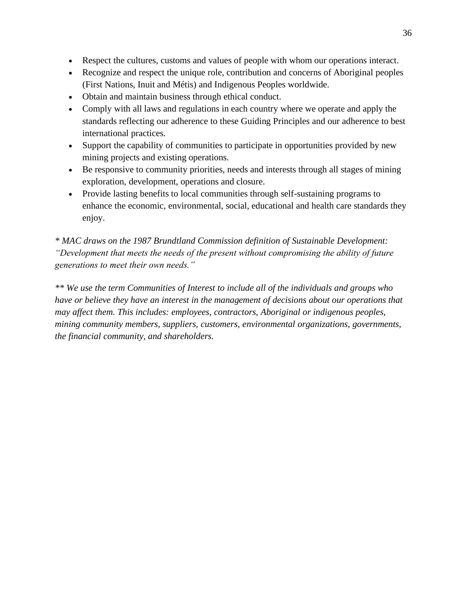- Respect the cultures, customs and values of people with whom our operations interact.
- Recognize and respect the unique role, contribution and concerns of Aboriginal peoples (First Nations, Inuit and Métis) and Indigenous Peoples worldwide.
- Obtain and maintain business through ethical conduct.
- Comply with all laws and regulations in each country where we operate and apply the standards reflecting our adherence to these Guiding Principles and our adherence to best international practices.
- Support the capability of communities to participate in opportunities provided by new mining projects and existing operations.
- Be responsive to community priorities, needs and interests through all stages of mining exploration, development, operations and closure.
- Provide lasting benefits to local communities through self-sustaining programs to enhance the economic, environmental, social, educational and health care standards they enjoy.

*\* MAC draws on the 1987 Brundtland Commission definition of Sustainable Development: "Development that meets the needs of the present without compromising the ability of future generations to meet their own needs."*

*\*\* We use the term Communities of Interest to include all of the individuals and groups who have or believe they have an interest in the management of decisions about our operations that may affect them. This includes: employees, contractors, Aboriginal or indigenous peoples, mining community members, suppliers, customers, environmental organizations, governments, the financial community, and shareholders.*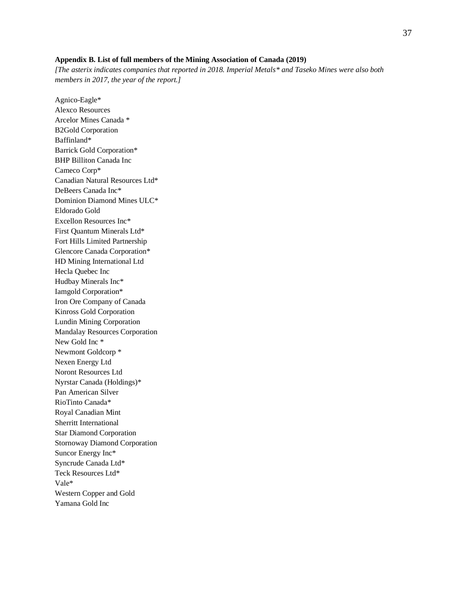#### **Appendix B. List of full members of the Mining Association of Canada (2019)**

*[The asterix indicates companies that reported in 2018. Imperial Metals\* and Taseko Mines were also both members in 2017, the year of the report.]*

Agnico-Eagle\* Alexco Resources Arcelor Mines Canada \* B2Gold Corporation Baffinland\* Barrick Gold Corporation\* BHP Billiton Canada Inc Cameco Corp\* Canadian Natural Resources Ltd\* DeBeers Canada Inc\* Dominion Diamond Mines ULC\* Eldorado Gold Excellon Resources Inc\* First Quantum Minerals Ltd\* Fort Hills Limited Partnership Glencore Canada Corporation\* HD Mining International Ltd Hecla Quebec Inc Hudbay Minerals Inc\* Iamgold Corporation\* Iron Ore Company of Canada Kinross Gold Corporation Lundin Mining Corporation Mandalay Resources Corporation New Gold Inc \* Newmont Goldcorp \* Nexen Energy Ltd Noront Resources Ltd Nyrstar Canada (Holdings)\* Pan American Silver RioTinto Canada\* Royal Canadian Mint Sherritt International Star Diamond Corporation Stornoway Diamond Corporation Suncor Energy Inc\* Syncrude Canada Ltd\* Teck Resources Ltd\* Vale\* Western Copper and Gold Yamana Gold Inc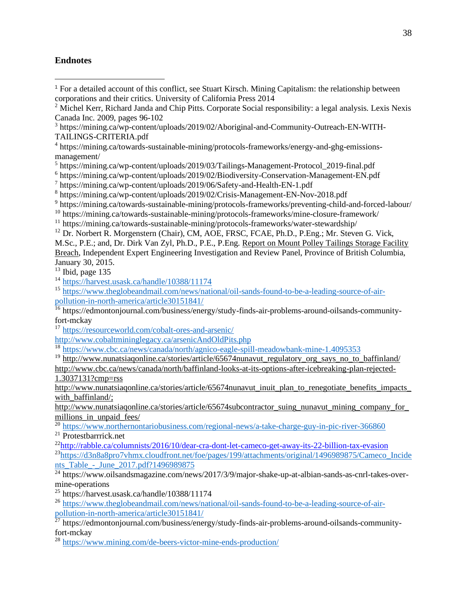# **Endnotes**

<sup>1</sup> For a detailed account of this conflict, see Stuart Kirsch. Mining Capitalism: the relationship between corporations and their critics. University of California Press 2014

<sup>9</sup> https://mining.ca/towards-sustainable-mining/protocols-frameworks/preventing-child-and-forced-labour/

<sup>12</sup> Dr. Norbert R. Morgenstern (Chair), CM, AOE, FRSC, FCAE, Ph.D., P.Eng.; Mr. Steven G. Vick, M.Sc., P.E.; and, Dr. Dirk Van Zyl, Ph.D., P.E., P.Eng. Report on Mount Polley Tailings Storage Facility Breach, Independent Expert Engineering Investigation and Review Panel, Province of British Columbia, January 30, 2015.

 $13$  Ibid, page 135

- <sup>14</sup> <https://harvest.usask.ca/handle/10388/11174>
- <sup>15</sup> [https://www.theglobeandmail.com/news/national/oil-sands-found-to-be-a-leading-source-of-air](https://www.theglobeandmail.com/news/national/oil-sands-found-to-be-a-leading-source-of-air-pollution-in-north-america/article30151841/)[pollution-in-north-america/article30151841/](https://www.theglobeandmail.com/news/national/oil-sands-found-to-be-a-leading-source-of-air-pollution-in-north-america/article30151841/)

<sup>16</sup> https://edmontonjournal.com/business/energy/study-finds-air-problems-around-oilsands-communityfort-mckay

<http://www.cobaltmininglegacy.ca/arsenicAndOldPits.php>

<sup>18</sup> <https://www.cbc.ca/news/canada/north/agnico-eagle-spill-meadowbank-mine-1.4095353>

 $19 \text{ http://www.nunatsiaqonline.ca/stories/article/65674}$ nunavut regulatory org\_says\_no\_to\_baffinland/

[http://www.cbc.ca/news/canada/north/baffinland-looks-at-its-options-after-icebreaking-plan-rejected-](http://www.cbc.ca/news/canada/north/baffinland-looks-at-its-options-after-icebreaking-plan-rejected-1.3037131?cmp=rss)[1.3037131?cmp=rss](http://www.cbc.ca/news/canada/north/baffinland-looks-at-its-options-after-icebreaking-plan-rejected-1.3037131?cmp=rss)

[http://www.nunatsiaqonline.ca/stories/article/65674nunavut\\_inuit\\_plan\\_to\\_renegotiate\\_benefits\\_impacts\\_](http://www.nunatsiaqonline.ca/stories/article/65674nunavut_inuit_plan_to_renegotiate_benefits_impacts_with_baffinland/) [with\\_baffinland/;](http://www.nunatsiaqonline.ca/stories/article/65674nunavut_inuit_plan_to_renegotiate_benefits_impacts_with_baffinland/)

[http://www.nunatsiaqonline.ca/stories/article/65674subcontractor\\_suing\\_nunavut\\_mining\\_company\\_for\\_](http://www.nunatsiaqonline.ca/stories/article/65674subcontractor_suing_nunavut_mining_company_for_millions_in_unpaid_fees/) [millions\\_in\\_unpaid\\_fees/](http://www.nunatsiaqonline.ca/stories/article/65674subcontractor_suing_nunavut_mining_company_for_millions_in_unpaid_fees/)

 $^{20}$  <https://www.northernontariobusiness.com/regional-news/a-take-charge-guy-in-pic-river-366860> <sup>21</sup> Protestbarrrick.net

<sup>22</sup><http://rabble.ca/columnists/2016/10/dear-cra-dont-let-cameco-get-away-its-22-billion-tax-evasion> <sup>23</sup>[https://d3n8a8pro7vhmx.cloudfront.net/foe/pages/199/attachments/original/1496989875/Cameco\\_Incide](https://d3n8a8pro7vhmx.cloudfront.net/foe/pages/199/attachments/original/1496989875/Cameco_Incidents_Table_-_June_2017.pdf?1496989875) nts\_Table - June 2017.pdf?1496989875

<sup>24</sup> https://www.oilsandsmagazine.com/news/2017/3/9/major-shake-up-at-albian-sands-as-cnrl-takes-overmine-operations

<sup>25</sup> https://harvest.usask.ca/handle/10388/11174

<sup>26</sup> [https://www.theglobeandmail.com/news/national/oil-sands-found-to-be-a-leading-source-of-air](https://www.theglobeandmail.com/news/national/oil-sands-found-to-be-a-leading-source-of-air-pollution-in-north-america/article30151841/)[pollution-in-north-america/article30151841/](https://www.theglobeandmail.com/news/national/oil-sands-found-to-be-a-leading-source-of-air-pollution-in-north-america/article30151841/)

 $27$  https://edmontonjournal.com/business/energy/study-finds-air-problems-around-oilsands-communityfort-mckay

<sup>28</sup> <https://www.mining.com/de-beers-victor-mine-ends-production/>

<sup>&</sup>lt;sup>2</sup> Michel Kerr, Richard Janda and Chip Pitts. Corporate Social responsibility: a legal analysis. Lexis Nexis Canada Inc. 2009, pages 96-102

<sup>&</sup>lt;sup>3</sup> https://mining.ca/wp-content/uploads/2019/02/Aboriginal-and-Community-Outreach-EN-WITH-TAILINGS-CRITERIA.pdf

<sup>&</sup>lt;sup>4</sup> https://mining.ca/towards-sustainable-mining/protocols-frameworks/energy-and-ghg-emissionsmanagement/

<sup>&</sup>lt;sup>5</sup> https://mining.ca/wp-content/uploads/2019/03/Tailings-Management-Protocol\_2019-final.pdf

<sup>&</sup>lt;sup>6</sup> https://mining.ca/wp-content/uploads/2019/02/Biodiversity-Conservation-Management-EN.pdf

<sup>7</sup> https://mining.ca/wp-content/uploads/2019/06/Safety-and-Health-EN-1.pdf

<sup>8</sup> https://mining.ca/wp-content/uploads/2019/02/Crisis-Management-EN-Nov-2018.pdf

<sup>&</sup>lt;sup>10</sup> https://mining.ca/towards-sustainable-mining/protocols-frameworks/mine-closure-framework/

 $11 \text{ https://mining.ca/towards-sustainable-mining/protocols-frameworks/water-stewardship/}$ 

<sup>17</sup> <https://resourceworld.com/cobalt-ores-and-arsenic/>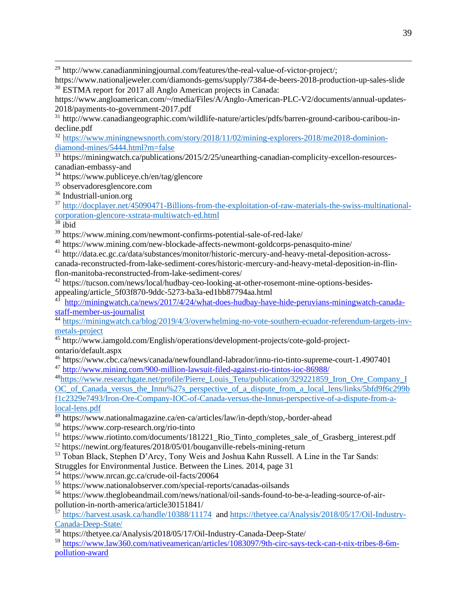<sup>29</sup> http://www.canadianminingjournal.com/features/the-real-value-of-victor-project/;

https://www.nationaljeweler.com/diamonds-gems/supply/7384-de-beers-2018-production-up-sales-slide <sup>30</sup> ESTMA report for 2017 all Anglo American projects in Canada:

https://www.angloamerican.com/~/media/Files/A/Anglo-American-PLC-V2/documents/annual-updates-2018/payments-to-government-2017.pdf

<sup>31</sup> http://www.canadiangeographic.com/wildlife-nature/articles/pdfs/barren-ground-caribou-caribou-indecline.pdf

<sup>32</sup> [https://www.miningnewsnorth.com/story/2018/11/02/mining-explorers-2018/me2018-dominion](https://www.miningnewsnorth.com/story/2018/11/02/mining-explorers-2018/me2018-dominion-diamond-mines/5444.html?m=false)[diamond-mines/5444.html?m=false](https://www.miningnewsnorth.com/story/2018/11/02/mining-explorers-2018/me2018-dominion-diamond-mines/5444.html?m=false)

 $33$  https://miningwatch.ca/publications/2015/2/25/unearthing-canadian-complicity-excellon-resourcescanadian-embassy-and

<sup>34</sup> https://www.publiceye.ch/en/tag/glencore

<sup>35</sup> observadoresglencore.com

<sup>36</sup> Industriall-union.org

<sup>37</sup> [http://docplayer.net/45090471-Billions-from-the-exploitation-of-raw-materials-the-swiss-multinational](http://docplayer.net/45090471-Billions-from-the-exploitation-of-raw-materials-the-swiss-multinational-corporation-glencore-xstrata-multiwatch-ed.html)[corporation-glencore-xstrata-multiwatch-ed.html](http://docplayer.net/45090471-Billions-from-the-exploitation-of-raw-materials-the-swiss-multinational-corporation-glencore-xstrata-multiwatch-ed.html)

 $38$  ibid

<sup>39</sup> https://www.mining.com/newmont-confirms-potential-sale-of-red-lake/

<sup>40</sup> https://www.mining.com/new-blockade-affects-newmont-goldcorps-penasquito-mine/

<sup>41</sup> http://data.ec.gc.ca/data/substances/monitor/historic-mercury-and-heavy-metal-deposition-acrosscanada-reconstructed-from-lake-sediment-cores/historic-mercury-and-heavy-metal-deposition-in-flinflon-manitoba-reconstructed-from-lake-sediment-cores/

<sup>42</sup> https://tucson.com/news/local/hudbay-ceo-looking-at-other-rosemont-mine-options-besidesappealing/article\_5f03f870-9ddc-5273-ba3a-ed1bb87794aa.html

 $43$  [http://miningwatch.ca/news/2017/4/24/what-does-hudbay-have-hide-peruvians-miningwatch-canada](http://miningwatch.ca/news/2017/4/24/what-does-hudbay-have-hide-peruvians-miningwatch-canada-staff-member-us-journalist)[staff-member-us-journalist](http://miningwatch.ca/news/2017/4/24/what-does-hudbay-have-hide-peruvians-miningwatch-canada-staff-member-us-journalist)

<sup>44</sup> [https://miningwatch.ca/blog/2019/4/3/overwhelming-no-vote-southern-ecuador-referendum-targets-inv](https://miningwatch.ca/blog/2019/4/3/overwhelming-no-vote-southern-ecuador-referendum-targets-inv-metals-project)[metals-project](https://miningwatch.ca/blog/2019/4/3/overwhelming-no-vote-southern-ecuador-referendum-targets-inv-metals-project)

 $\frac{45 \text{ http://www.iamgold.com/English/operations/development-projects/cote-gold-project-}$ 

ontario/default.aspx

<sup>46</sup> https://www.cbc.ca/news/canada/newfoundland-labrador/innu-rio-tinto-supreme-court-1.4907401

<sup>47</sup> <http://www.mining.com/900-million-lawsuit-filed-against-rio-tintos-ioc-86988/>

<sup>48</sup>[https://www.researchgate.net/profile/Pierre\\_Louis\\_Tetu/publication/329221859\\_Iron\\_Ore\\_Company\\_I](https://www.researchgate.net/profile/Pierre_Louis_Tetu/publication/329221859_Iron_Ore_Company_IOC_of_Canada_versus_the_Innu%27s_perspective_of_a_dispute_from_a_local_lens/links/5bfd9f6c299bf1c2329e7493/Iron-Ore-Company-IOC-of-Canada-versus-the-Innus-perspective-of-a-dispute-from-a-local-lens.pdf) [OC\\_of\\_Canada\\_versus\\_the\\_Innu%27s\\_perspective\\_of\\_a\\_dispute\\_from\\_a\\_local\\_lens/links/5bfd9f6c299b](https://www.researchgate.net/profile/Pierre_Louis_Tetu/publication/329221859_Iron_Ore_Company_IOC_of_Canada_versus_the_Innu%27s_perspective_of_a_dispute_from_a_local_lens/links/5bfd9f6c299bf1c2329e7493/Iron-Ore-Company-IOC-of-Canada-versus-the-Innus-perspective-of-a-dispute-from-a-local-lens.pdf) [f1c2329e7493/Iron-Ore-Company-IOC-of-Canada-versus-the-Innus-perspective-of-a-dispute-from-a](https://www.researchgate.net/profile/Pierre_Louis_Tetu/publication/329221859_Iron_Ore_Company_IOC_of_Canada_versus_the_Innu%27s_perspective_of_a_dispute_from_a_local_lens/links/5bfd9f6c299bf1c2329e7493/Iron-Ore-Company-IOC-of-Canada-versus-the-Innus-perspective-of-a-dispute-from-a-local-lens.pdf)[local-lens.pdf](https://www.researchgate.net/profile/Pierre_Louis_Tetu/publication/329221859_Iron_Ore_Company_IOC_of_Canada_versus_the_Innu%27s_perspective_of_a_dispute_from_a_local_lens/links/5bfd9f6c299bf1c2329e7493/Iron-Ore-Company-IOC-of-Canada-versus-the-Innus-perspective-of-a-dispute-from-a-local-lens.pdf)

<sup>49</sup> https://www.nationalmagazine.ca/en-ca/articles/law/in-depth/stop,-border-ahead

<sup>50</sup> https://www.corp-research.org/rio-tinto

<sup>51</sup> https://www.riotinto.com/documents/181221 Rio Tinto completes sale of Grasberg interest.pdf <sup>52</sup> https://newint.org/features/2018/05/01/bouganville-rebels-mining-return

<sup>53</sup> Toban Black, Stephen D'Arcy, Tony Weis and Joshua Kahn Russell. A Line in the Tar Sands:

Struggles for Environmental Justice. Between the Lines. 2014, page 31

<sup>54</sup> https://www.nrcan.gc.ca/crude-oil-facts/20064

<sup>55</sup> https://www.nationalobserver.com/special-reports/canadas-oilsands

<sup>56</sup> https://www.theglobeandmail.com/news/national/oil-sands-found-to-be-a-leading-source-of-airpollution-in-north-america/article30151841/

<sup>57</sup> <https://harvest.usask.ca/handle/10388/11174>an[d https://thetyee.ca/Analysis/2018/05/17/Oil-Industry-](https://thetyee.ca/Analysis/2018/05/17/Oil-Industry-Canada-Deep-State/)[Canada-Deep-State/](https://thetyee.ca/Analysis/2018/05/17/Oil-Industry-Canada-Deep-State/)

<sup>58</sup> https://thetyee.ca/Analysis/2018/05/17/Oil-Industry-Canada-Deep-State/

<sup>59</sup> [https://www.law360.com/nativeamerican/articles/1083097/9th-circ-says-teck-can-t-nix-tribes-8-6m](https://www.law360.com/nativeamerican/articles/1083097/9th-circ-says-teck-can-t-nix-tribes-8-6m-pollution-award?nl_pk=7407c6fb-2899-468c-ae45-0b6f8cdd0425&utm_source=newsletter&utm_medium=email&utm_campaign=nativeamerican)[pollution-award](https://www.law360.com/nativeamerican/articles/1083097/9th-circ-says-teck-can-t-nix-tribes-8-6m-pollution-award?nl_pk=7407c6fb-2899-468c-ae45-0b6f8cdd0425&utm_source=newsletter&utm_medium=email&utm_campaign=nativeamerican)